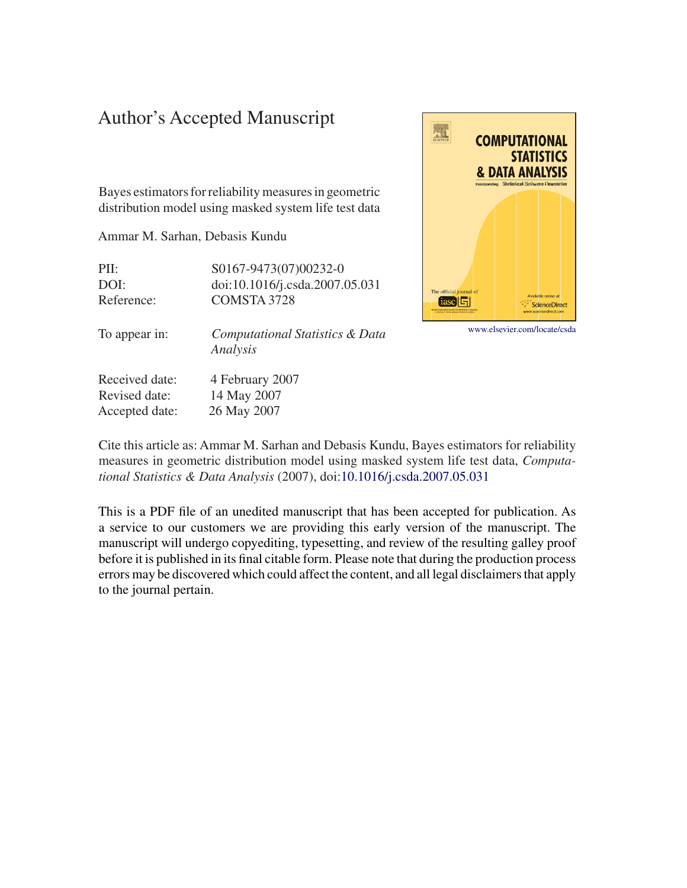## Author's Accepted Manuscript

Bayes estimators for reliability measures in geometric distribution model using masked system life test data

Ammar M. Sarhan, Debasis Kundu

PII: S0167-9473(07)00232-0 DOI: doi:10.1016/j.csda.2007.05.031 Reference: COMSTA 3728



[www.elsevier.com/locate/csda](http://www.elsevier.com/locate/csda)

To appear in: *Computational Statistics & Data Analysis*

Received date: 4 February 2007 Revised date: 14 May 2007 Accepted date: 26 May 2007

Cite this article as: Ammar M. Sarhan and Debasis Kundu, Bayes estimators for reliability measures in geometric distribution model using masked system life test data, *Computational Statistics & Data Analysis* (2007), doi[:10.1016/j.csda.2007.05.031](http://dx.doi.org/10.1016/j.csda.2007.05.031)

This is a PDF file of an unedited manuscript that has been accepted for publication. As a service to our customers we are providing this early version of the manuscript. The manuscript will undergo copyediting, typesetting, and review of the resulting galley proof before it is published in its final citable form. Please note that during the production process errors may be discovered which could affect the content, and all legal disclaimers that apply to the journal pertain.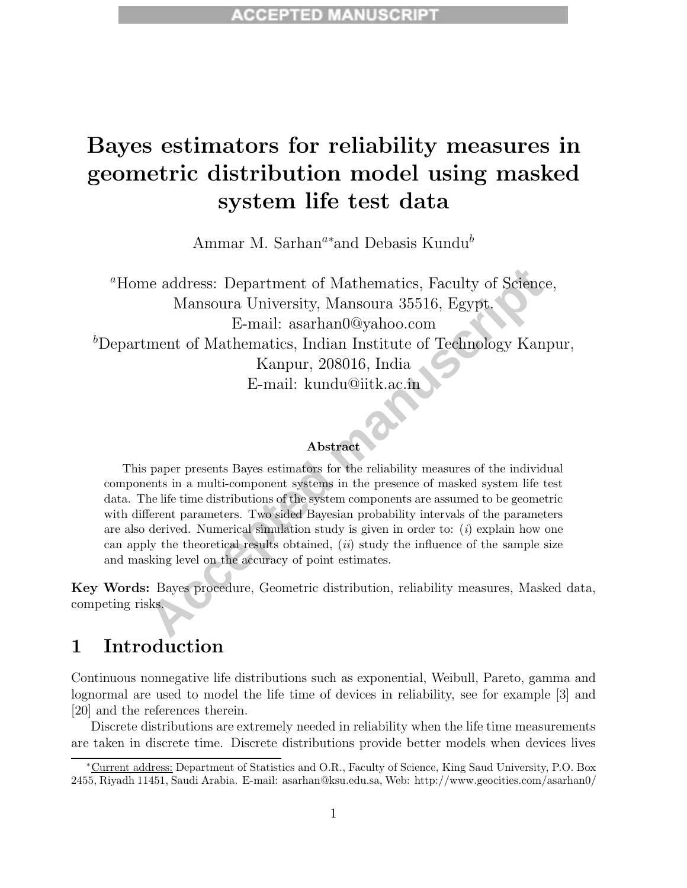# **Bayes estimators for reliability measures in geometric distribution model using masked system life test data**

Ammar M. Sarhan*<sup>a</sup>*<sup>∗</sup> and Debasis Kundu*<sup>b</sup>*

ne address: Department of Mathematics, Faculty of Science,<br>Mansoura University, Mansoura 35516, Egypt.<br>E-mail: asarhan0@yahoo.com<br>ment of Mathematics, Indian Institute of Technology Kanpı<br>Kanpur, 208016, India<br>E-mail: kund *<sup>a</sup>*Home address: Department of Mathematics, Faculty of Science, Mansoura University, Mansoura 35516, Egypt. E-mail: asarhan0@yahoo.com *b* Department of Mathematics, Indian Institute of Technology Kanpur, Kanpur, 208016, India E-mail: kundu@iitk.ac.in

#### **Abstract**

This paper presents Bayes estimators for the reliability measures of the individual components in a multi-component systems in the presence of masked system life test data. The life time distributions of the system components are assumed to be geometric with different parameters. Two sided Bayesian probability intervals of the parameters are also derived. Numerical simulation study is given in order to: (*i*) explain how one can apply the theoretical results obtained, (*ii*) study the influence of the sample size and masking level on the accuracy of point estimates.

**Key Words:** Bayes procedure, Geometric distribution, reliability measures, Masked data, competing risks.

## **1 Introduction**

Continuous nonnegative life distributions such as exponential, Weibull, Pareto, gamma and lognormal are used to model the life time of devices in reliability, see for example [3] and [20] and the references therein.

Discrete distributions are extremely needed in reliability when the life time measurements are taken in discrete time. Discrete distributions provide better models when devices lives

<sup>∗</sup>Current address: Department of Statistics and O.R., Faculty of Science, King Saud University, P.O. Box 2455, Riyadh 11451, Saudi Arabia. E-mail: asarhan@ksu.edu.sa, Web: http://www.geocities.com/asarhan0/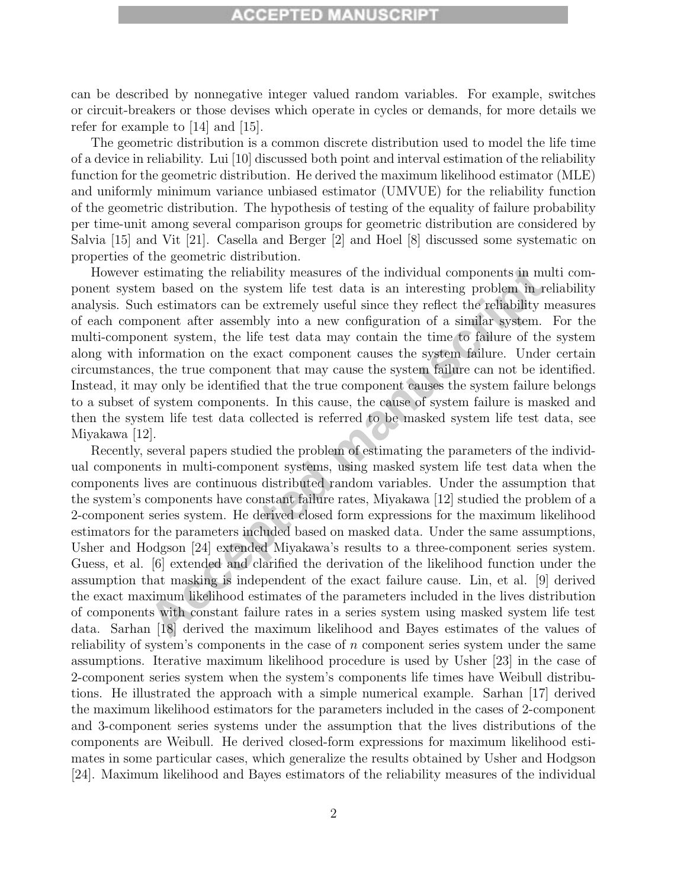### **ACCEPTED MANUSCRIPT**

can be described by nonnegative integer valued random variables. For example, switches or circuit-breakers or those devises which operate in cycles or demands, for more details we refer for example to [14] and [15].

The geometric distribution is a common discrete distribution used to model the life time of a device in reliability. Lui [10] discussed both point and interval estimation of the reliability function for the geometric distribution. He derived the maximum likelihood estimator (MLE) and uniformly minimum variance unbiased estimator (UMVUE) for the reliability function of the geometric distribution. The hypothesis of testing of the equality of failure probability per time-unit among several comparison groups for geometric distribution are considered by Salvia [15] and Vit [21]. Casella and Berger [2] and Hoel [8] discussed some systematic on properties of the geometric distribution.

However estimating the reliability measures of the individual components in multi component system based on the system life test data is an interesting problem in reliability analysis. Such estimators can be extremely useful since they reflect the reliability measures of each component after assembly into a new configuration of a similar system. For the multi-component system, the life test data may contain the time to failure of the system along with information on the exact component causes the system failure. Under certain circumstances, the true component that may cause the system failure can not be identified. Instead, it may only be identified that the true component causes the system failure belongs to a subset of system components. In this cause, the cause of system failure is masked and then the system life test data collected is referred to be masked system life test data, see Miyakawa [12].

estimating the reliability measures of the individual components in mult<br>m based on the system life test data is an interesting problem in reli<br>measures can be extremely useful since they reflect the reliability measure<br>of Recently, several papers studied the problem of estimating the parameters of the individual components in multi-component systems, using masked system life test data when the components lives are continuous distributed random variables. Under the assumption that the system's components have constant failure rates, Miyakawa [12] studied the problem of a 2-component series system. He derived closed form expressions for the maximum likelihood estimators for the parameters included based on masked data. Under the same assumptions, Usher and Hodgson [24] extended Miyakawa's results to a three-component series system. Guess, et al. [6] extended and clarified the derivation of the likelihood function under the assumption that masking is independent of the exact failure cause. Lin, et al. [9] derived the exact maximum likelihood estimates of the parameters included in the lives distribution of components with constant failure rates in a series system using masked system life test data. Sarhan [18] derived the maximum likelihood and Bayes estimates of the values of reliability of system's components in the case of  $n$  component series system under the same assumptions. Iterative maximum likelihood procedure is used by Usher [23] in the case of 2-component series system when the system's components life times have Weibull distributions. He illustrated the approach with a simple numerical example. Sarhan [17] derived the maximum likelihood estimators for the parameters included in the cases of 2-component and 3-component series systems under the assumption that the lives distributions of the components are Weibull. He derived closed-form expressions for maximum likelihood estimates in some particular cases, which generalize the results obtained by Usher and Hodgson [24]. Maximum likelihood and Bayes estimators of the reliability measures of the individual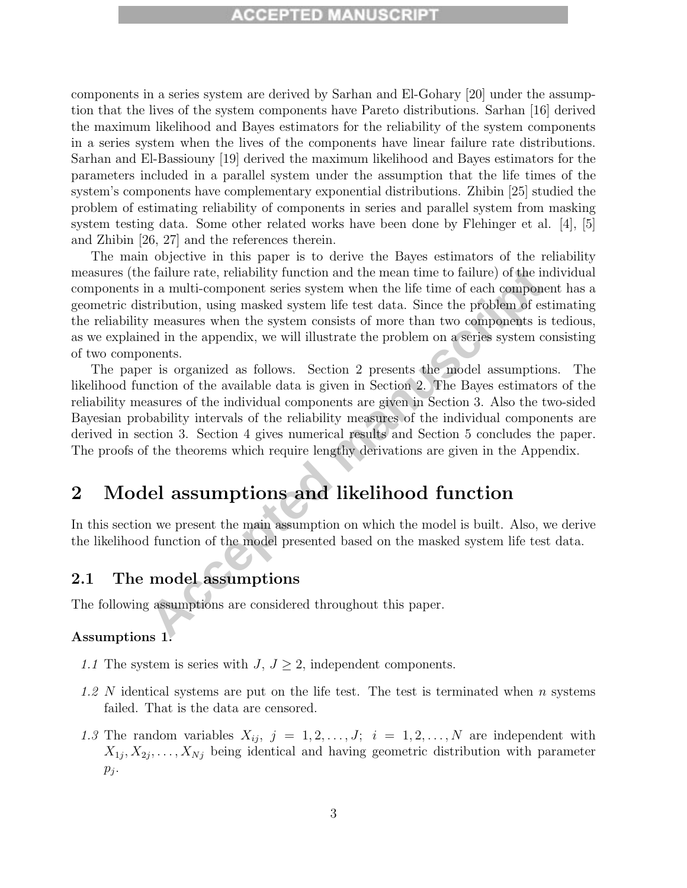### **CCEPTED MANUSCRIPT**

components in a series system are derived by Sarhan and El-Gohary [20] under the assumption that the lives of the system components have Pareto distributions. Sarhan [16] derived the maximum likelihood and Bayes estimators for the reliability of the system components in a series system when the lives of the components have linear failure rate distributions. Sarhan and El-Bassiouny [19] derived the maximum likelihood and Bayes estimators for the parameters included in a parallel system under the assumption that the life times of the system's components have complementary exponential distributions. Zhibin [25] studied the problem of estimating reliability of components in series and parallel system from masking system testing data. Some other related works have been done by Flehinger et al. [4], [5] and Zhibin [26, 27] and the references therein.

Example a failure rate, reliability function and the mean time to failure) of the indi<br>
In a multi-component scries system when the life time of each component<br>
Acceptivibution, using masked system life test data. Since th The main objective in this paper is to derive the Bayes estimators of the reliability measures (the failure rate, reliability function and the mean time to failure) of the individual components in a multi-component series system when the life time of each component has a geometric distribution, using masked system life test data. Since the problem of estimating the reliability measures when the system consists of more than two components is tedious, as we explained in the appendix, we will illustrate the problem on a series system consisting of two components.

The paper is organized as follows. Section 2 presents the model assumptions. The likelihood function of the available data is given in Section 2. The Bayes estimators of the reliability measures of the individual components are given in Section 3. Also the two-sided Bayesian probability intervals of the reliability measures of the individual components are derived in section 3. Section 4 gives numerical results and Section 5 concludes the paper. The proofs of the theorems which require lengthy derivations are given in the Appendix.

## **2 Model assumptions and likelihood function**

In this section we present the main assumption on which the model is built. Also, we derive the likelihood function of the model presented based on the masked system life test data.

### **2.1 The model assumptions**

The following assumptions are considered throughout this paper.

#### **Assumptions 1.**

- 1.1 The system is series with  $J, J \geq 2$ , independent components.
- 1.2 N identical systems are put on the life test. The test is terminated when  $n$  systems failed. That is the data are censored.
- 1.3 The random variables  $X_{ij}$ ,  $j = 1, 2, ..., J; i = 1, 2, ..., N$  are independent with  $X_{1j}, X_{2j}, \ldots, X_{Nj}$  being identical and having geometric distribution with parameter  $p_j$ .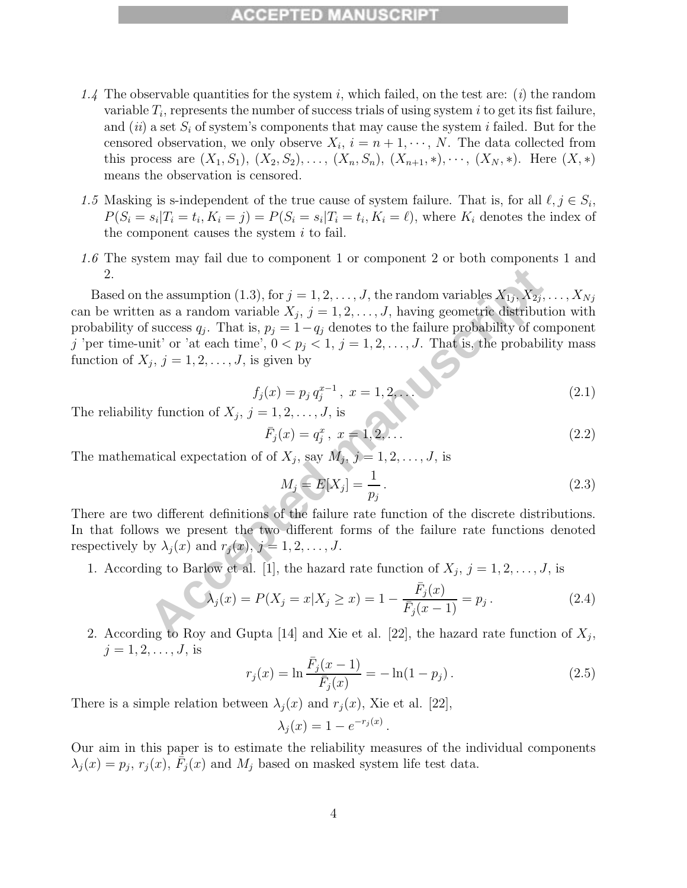#### **CCEPTED MANUS**

- 1.4 The observable quantities for the system i, which failed, on the test are: (i) the random variable  $T_i$ , represents the number of success trials of using system i to get its fist failure, and (ii) a set  $S_i$  of system's components that may cause the system i failed. But for the censored observation, we only observe  $X_i$ ,  $i = n + 1, \dots, N$ . The data collected from this process are  $(X_1, S_1), (X_2, S_2), \ldots, (X_n, S_n), (X_{n+1}, *), \cdots, (X_N, *)$ . Here  $(X, *)$ means the observation is censored.
- 1.5 Masking is s-independent of the true cause of system failure. That is, for all  $\ell, j \in S_i$ ,  $P(S_i = s_i | T_i = t_i, K_i = j) = P(S_i = s_i | T_i = t_i, K_i = \ell)$ , where  $K_i$  denotes the index of the component causes the system  $i$  to fail.
- 1.6 The system may fail due to component 1 or component 2 or both components 1 and 2.

the assumption (1.3), for  $j = 1, 2, ..., J$ , the random variables  $X_{1j}$ ,  $X_{2j}$ , ...<br>
In as a random variable  $X_j$ ,  $j = 1, 2, ..., J$ , having geometric distribution<br>
futcors  $q_j$ . That is,  $p_j = 1 - q_j$  denotes to the failure proba Based on the assumption (1.3), for  $j = 1, 2, \ldots, J$ , the random variables  $X_{1j}, X_{2j}, \ldots, X_{Nj}$ can be written as a random variable  $X_j$ ,  $j = 1, 2, \ldots, J$ , having geometric distribution with probability of success  $q_i$ . That is,  $p_i = 1-q_i$  denotes to the failure probability of component j 'per time-unit' or 'at each time',  $0 < p_j < 1$ ,  $j = 1, 2, ..., J$ . That is, the probability mass function of  $X_j$ ,  $j = 1, 2, \ldots, J$ , is given by

$$
f_j(x) = p_j q_j^{x-1}, \ x = 1, 2, \dots
$$
 (2.1)

The reliability function of  $X_j$ ,  $j = 1, 2, \ldots, J$ , is

$$
\bar{F}_j(x) = q_j^x, \ x = 1, 2, \dots \tag{2.2}
$$

The mathematical expectation of of  $X_j$ , say  $M_j$ ,  $j = 1, 2, \ldots, J$ , is

$$
M_j = E[X_j] = \frac{1}{p_j} \,. \tag{2.3}
$$

There are two different definitions of the failure rate function of the discrete distributions. In that follows we present the two different forms of the failure rate functions denoted respectively by  $\lambda_j(x)$  and  $r_j(x)$ ,  $j = 1, 2, \ldots, J$ .

1. According to Barlow et al. [1], the hazard rate function of  $X_j$ ,  $j = 1, 2, \ldots, J$ , is

$$
\lambda_j(x) = P(X_j = x | X_j \ge x) = 1 - \frac{\bar{F}_j(x)}{\bar{F}_j(x - 1)} = p_j.
$$
\n(2.4)

2. According to Roy and Gupta [14] and Xie et al. [22], the hazard rate function of  $X_i$ ,  $j = 1, 2, ..., J$ , is

$$
r_j(x) = \ln \frac{\bar{F}_j(x-1)}{\bar{F}_j(x)} = -\ln(1-p_j). \tag{2.5}
$$

There is a simple relation between  $\lambda_i(x)$  and  $r_i(x)$ , Xie et al. [22],

$$
\lambda_j(x) = 1 - e^{-r_j(x)}.
$$

Our aim in this paper is to estimate the reliability measures of the individual components  $\lambda_i(x) = p_i, r_i(x), F_i(x)$  and  $M_i$  based on masked system life test data.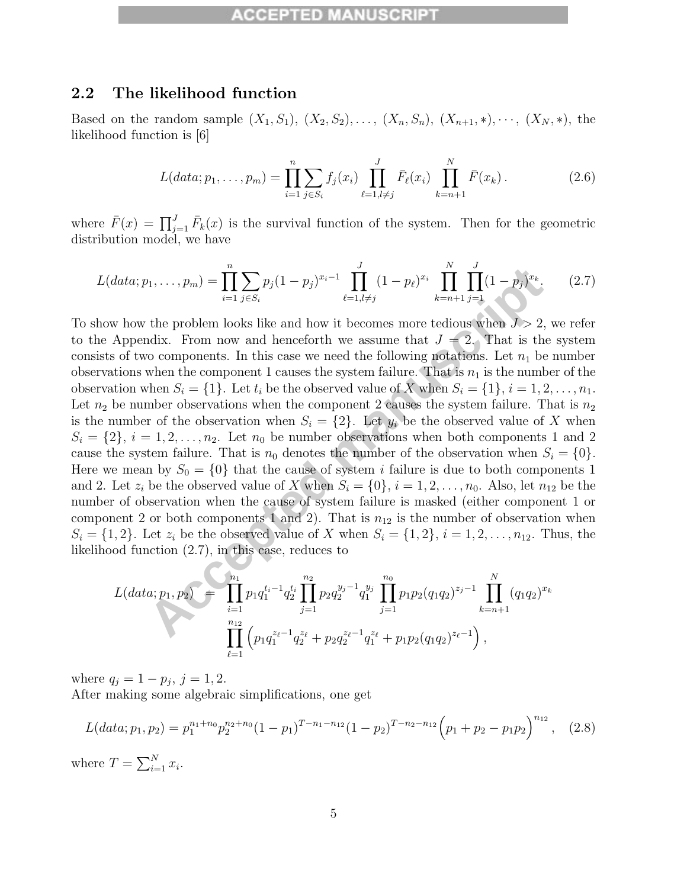#### **2.2 The likelihood function**

Based on the random sample  $(X_1, S_1), (X_2, S_2), \ldots, (X_n, S_n), (X_{n+1}, \ast), \cdots, (X_N, \ast)$ , the likelihood function is [6]

$$
L(data; p_1, \dots, p_m) = \prod_{i=1}^n \sum_{j \in S_i} f_j(x_i) \prod_{\ell=1, l \neq j}^J \bar{F}_{\ell}(x_i) \prod_{k=n+1}^N \bar{F}(x_k).
$$
 (2.6)

where  $\bar{F}(x) = \prod_{j=1}^{J} \bar{F}_k(x)$  is the survival function of the system. Then for the geometric distribution model, we have

$$
L(data; p_1, \dots, p_m) = \prod_{i=1}^n \sum_{j \in S_i} p_j (1 - p_j)^{x_i - 1} \prod_{\ell=1, l \neq j}^J (1 - p_\ell)^{x_i} \prod_{k=n+1}^N \prod_{j=1}^J (1 - p_j)^{x_k}.
$$
 (2.7)

 $p_1, \ldots, p_m$  =  $\prod_{i=1}^n \sum_{j \in S_i} p_j (1-p_j)^{x_i-1} \prod_{\ell=1, l \neq j}^n (1-p_\ell)^{x_i} \prod_{k=n+1}^n \prod_{j=1}^n (1-p_j)^{x_k}$ .<br>
the problem looks like and how it becomes more tedious when  $J > 2$ , which the problem looks like and how it becomes To show how the problem looks like and how it becomes more tedious when  $J > 2$ , we refer to the Appendix. From now and henceforth we assume that  $J = 2$ . That is the system consists of two components. In this case we need the following notations. Let  $n_1$  be number observations when the component 1 causes the system failure. That is  $n_1$  is the number of the observation when  $S_i = \{1\}$ . Let  $t_i$  be the observed value of X when  $S_i = \{1\}$ ,  $i = 1, 2, \ldots, n_1$ . Let  $n_2$  be number observations when the component 2 causes the system failure. That is  $n_2$ is the number of the observation when  $S_i = \{2\}$ . Let  $y_i$  be the observed value of X when  $S_i = \{2\}, i = 1, 2, \ldots, n_2$ . Let  $n_0$  be number observations when both components 1 and 2 cause the system failure. That is  $n_0$  denotes the number of the observation when  $S_i = \{0\}$ . Here we mean by  $S_0 = \{0\}$  that the cause of system i failure is due to both components 1 and 2. Let  $z_i$  be the observed value of X when  $S_i = \{0\}, i = 1, 2, \ldots, n_0$ . Also, let  $n_{12}$  be the number of observation when the cause of system failure is masked (either component 1 or component 2 or both components 1 and 2). That is  $n_{12}$  is the number of observation when  $S_i = \{1, 2\}$ . Let  $z_i$  be the observed value of X when  $S_i = \{1, 2\}$ ,  $i = 1, 2, \ldots, n_{12}$ . Thus, the likelihood function (2.7), in this case, reduces to

$$
L(data; p_1, p_2) = \prod_{i=1}^{n_1} p_1 q_1^{t_i-1} q_2^{t_i} \prod_{j=1}^{n_2} p_2 q_2^{y_j-1} q_1^{y_j} \prod_{j=1}^{n_0} p_1 p_2 (q_1 q_2)^{z_j-1} \prod_{k=n+1}^N (q_1 q_2)^{x_k}
$$

$$
\prod_{\ell=1}^{n_{12}} \left( p_1 q_1^{z_{\ell}-1} q_2^{z_{\ell}} + p_2 q_2^{z_{\ell}-1} q_1^{z_{\ell}} + p_1 p_2 (q_1 q_2)^{z_{\ell}-1} \right),
$$

where  $q_i = 1 - p_i$ ,  $j = 1, 2$ .

After making some algebraic simplifications, one get

$$
L(data; p_1, p_2) = p_1^{n_1+n_0} p_2^{n_2+n_0} (1-p_1)^{T-n_1-n_1} (1-p_2)^{T-n_2-n_1} \left( p_1 + p_2 - p_1 p_2 \right)^{n_1} , \quad (2.8)
$$

where  $T = \sum_{i=1}^{N} x_i$ .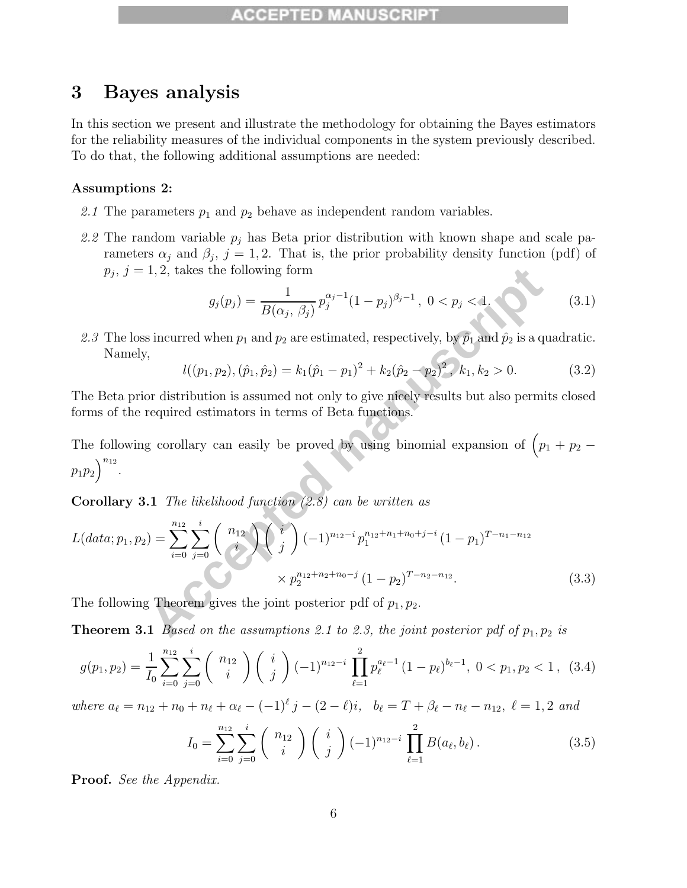## **3 Bayes analysis**

In this section we present and illustrate the methodology for obtaining the Bayes estimators for the reliability measures of the individual components in the system previously described. To do that, the following additional assumptions are needed:

#### **Assumptions 2:**

- 2.1 The parameters  $p_1$  and  $p_2$  behave as independent random variables.
- 2.2 The random variable  $p_j$  has Beta prior distribution with known shape and scale parameters  $\alpha_j$  and  $\beta_j$ ,  $j = 1, 2$ . That is, the prior probability density function (pdf) of  $p_j, j = 1, 2$ , takes the following form

$$
g_j(p_j) = \frac{1}{B(\alpha_j, \beta_j)} p_j^{\alpha_j - 1} (1 - p_j)^{\beta_j - 1}, \ 0 < p_j < 1. \tag{3.1}
$$

2.3 The loss incurred when  $p_1$  and  $p_2$  are estimated, respectively, by  $\hat{p}_1$  and  $\hat{p}_2$  is a quadratic. Namely,

$$
l((p_1, p_2), (\hat{p}_1, \hat{p}_2) = k_1(\hat{p}_1 - p_1)^2 + k_2(\hat{p}_2 - p_2)^2, k_1, k_2 > 0.
$$
 (3.2)

The Beta prior distribution is assumed not only to give nicely results but also permits closed forms of the required estimators in terms of Beta functions.

The following corollary can easily be proved by using binomial expansion of  $\left(p_1 + p_2 - p_1\right)$  $p_1 p_2$ <sup>n<sub>12</sub></sup>.

**Corollary 3.1** The likelihood function (2.8) can be written as

$$
p_j, j = 1, 2, \text{ takes the following form}
$$
\n
$$
g_j(p_j) = \frac{1}{B(\alpha_j, \beta_j)} p_j^{\alpha_j - 1} (1 - p_j)^{\beta_j - 1}, 0 < p_j < 1.
$$
\n(3.1)\n
$$
2.3 \text{ The loss incurred when } p_1 \text{ and } p_2 \text{ are estimated, respectively, by } \hat{p}_1 \text{ and } \hat{p}_2 \text{ is a quadratic.}
$$
\nNamely,

\n
$$
l((p_1, p_2), (\hat{p}_1, \hat{p}_2) = k_1(\hat{p}_1 - p_1)^2 + k_2(\hat{p}_2 - p_2)^2, k_1, k_2 > 0. \qquad (3.2)
$$
\nThe Beta prior distribution is assumed not only to give nicely results but also permits closed forms of the required estimators in terms of Beta functions.

\nThe following corollary can easily be proved by using binomial expansion of  $(p_1 + p_2 - p_1 p_2)^{n_{12}}$ .

\n**Corollary 3.1** The likelihood function (2.8) can be written as

\n
$$
L(data; p_1, p_2) = \sum_{i=0}^{n_{12}} \sum_{j=0}^{i} {n_{12} \choose i} {j \choose j} (-1)^{n_{12} - i} p_1^{n_{12} + n_1 + n_0 + j - i} (1 - p_1)^{T - n_1 - n_{12}} \times p_2^{n_{12} + n_2 + n_0 - j} (1 - p_2)^{T - n_2 - n_{12}}. \qquad (3.3)
$$
\nThe following Theorem gives the joint posterior pdf of  $p_1, p_2$ .

\n**Theorem 3.1** Based on the assumptions 2.1 to 2.3, the joint posterior pdf of  $p_1, p_2$  is

The following Theorem gives the joint posterior pdf of  $p_1, p_2$ .

**Theorem 3.1** Based on the assumptions 2.1 to 2.3, the joint posterior pdf of  $p_1, p_2$  is

$$
g(p_1, p_2) = \frac{1}{I_0} \sum_{i=0}^{n_{12}} \sum_{j=0}^{i} \binom{n_{12}}{i} \binom{i}{j} (-1)^{n_{12}-i} \prod_{\ell=1}^{2} p_{\ell}^{a_{\ell}-1} (1-p_{\ell})^{b_{\ell}-1}, \ 0 < p_1, p_2 < 1, \ (3.4)
$$

where  $a_{\ell} = n_{12} + n_0 + n_{\ell} + \alpha_{\ell} - (-1)^{\ell} j - (2 - \ell)i$ ,  $b_{\ell} = T + \beta_{\ell} - n_{\ell} - n_{12}$ ,  $\ell = 1, 2$  and

$$
I_0 = \sum_{i=0}^{n_{12}} \sum_{j=0}^i \binom{n_{12}}{i} \binom{i}{j} (-1)^{n_{12}-i} \prod_{\ell=1}^2 B(a_\ell, b_\ell).
$$
 (3.5)

**Proof.** See the Appendix.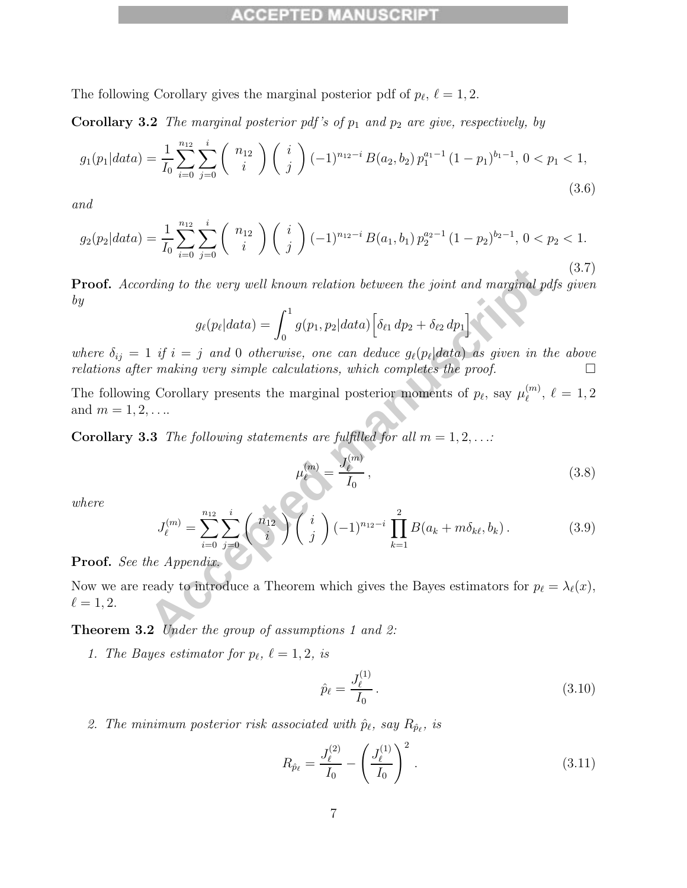#### n di ci d

The following Corollary gives the marginal posterior pdf of  $p_{\ell}, \ell = 1, 2$ .

**Corollary 3.2** The marginal posterior pdf's of  $p_1$  and  $p_2$  are give, respectively, by

$$
g_1(p_1|data) = \frac{1}{I_0} \sum_{i=0}^{n_{12}} \sum_{j=0}^i \binom{n_{12}}{i} \binom{i}{j} (-1)^{n_{12}-i} B(a_2, b_2) p_1^{a_1-1} (1-p_1)^{b_1-1}, \ 0 < p_1 < 1,\tag{3.6}
$$

and

$$
g_2(p_2|data) = \frac{1}{I_0} \sum_{i=0}^{n_{12}} \sum_{j=0}^{i} \binom{n_{12}}{i} \binom{i}{j} (-1)^{n_{12}-i} B(a_1, b_1) p_2^{a_2-1} (1-p_2)^{b_2-1}, \ 0 < p_2 < 1. \tag{3.7}
$$

**Proof.** According to the very well known relation between the joint and marginal pdfs given by

$$
g_{\ell}(p_{\ell}|data) = \int_0^1 g(p_1, p_2|data) \left[\delta_{\ell 1} dp_2 + \delta_{\ell 2} dp_1\right]
$$

where  $\delta_{ij} = 1$  if  $i = j$  and 0 otherwise, one can deduce  $g_{\ell}(p_{\ell}|data)$  as given in the above relations after making very simple calculations, which completes the proof.  $\Box$ 

The following Corollary presents the marginal posterior moments of  $p_{\ell}$ , say  $\mu_{\ell}^{(m)}$ ,  $\ell = 1, 2$ and  $m = 1, 2, ...$ 

**Corollary 3.3** The following statements are fulfilled for all  $m = 1, 2, ...$ 

$$
\mu_{\ell}^{(m)} = \frac{J_{\ell}^{(m)}}{I_0},\tag{3.8}
$$

where

trding to the very well known relation between the joint and marginal pdfs given

\n
$$
g_{\ell}(p_{\ell}|data) = \int_{0}^{1} g(p_1, p_2|data) \left[ \delta_{\ell 1} dp_2 + \delta_{\ell 2} dp_1 \right]
$$
\n1 if  $i = j$  and 0 otherwise, one can deduce  $g_{\ell}(p_{\ell}|data)$  as given in the above r making very simple calculations, which completes the proof.

\n13 The following statements are fulfilled for all  $m = 1, 2, \ldots$ 

\n23 The following statements are fulfilled for all  $m = 1, 2, \ldots$ 

\n
$$
\mu_{\ell}^{(m)} = \frac{J_{\ell}^{(m)}}{I_0}, \qquad (3.8)
$$
\n34. The following statements are fulfilled for all  $m = 1, 2, \ldots$ 

\n
$$
J_{\ell}^{(m)} = \sum_{i=0}^{n_{12}} \sum_{j=0}^{i} {n_1 \choose i} {i \choose j} (-1)^{n_{12}-i} \prod_{k=1}^{2} B(a_k + m\delta_{k\ell}, b_k).
$$
\n35. The Appendix:

\n18. The Appendix:

\n19. The *Appendix*.

\n20. The *appendix*.

\n21. The *group of assumptions 1 and 2:*

\n32. The *group of assumptions 1 and 2:*

\n43. The *group of assumptions 2 and 3.*

\n54. The *group of assumptions 3 and 4.*

\n65. The *group of assumptions 1 and 2:*

\n76. The *group of assumptions 2 and 3.*

\n87. The *group of assumptions 3 and 4.*

\n98. The *group of assumptions 4 and 5.*

\n109. The *group of assumptions 5.*

\n11. The *group of assumptions* is given in the above *group of a.*

\n12. The *group of a.*

\n13. The *group of a.*

\n14. The *group of a.*

\n15. The *group of a.*

\n16. The *group of a.*

\n17

#### **Proof.** See the Appendix.

Now we are ready to introduce a Theorem which gives the Bayes estimators for  $p_{\ell} = \lambda_{\ell}(x)$ ,  $\ell = 1, 2.$ 

**Theorem 3.2** Under the group of assumptions 1 and 2:

1. The Bayes estimator for  $p_{\ell}$ ,  $\ell = 1, 2$ , is

$$
\hat{p}_{\ell} = \frac{J_{\ell}^{(1)}}{I_0} \,. \tag{3.10}
$$

2. The minimum posterior risk associated with  $\hat{p}_{\ell}$ , say  $R_{\hat{p}_{\ell}}$ , is

$$
R_{\hat{p}_{\ell}} = \frac{J_{\ell}^{(2)}}{I_0} - \left(\frac{J_{\ell}^{(1)}}{I_0}\right)^2.
$$
 (3.11)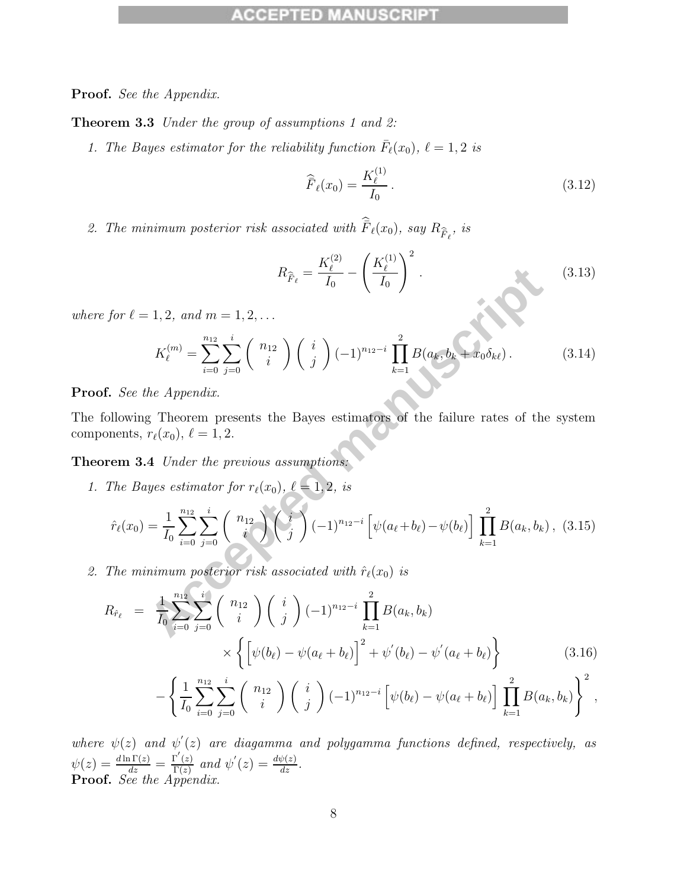**Proof.** See the Appendix.

**Theorem 3.3** Under the group of assumptions 1 and 2:

1. The Bayes estimator for the reliability function  $\bar{F}_{\ell}(x_0)$ ,  $\ell = 1, 2$  is

$$
\widehat{\overline{F}}_{\ell}(x_0) = \frac{K_{\ell}^{(1)}}{I_0}.
$$
\n(3.12)

2. The minimum posterior risk associated with  $\hat{F}_{\ell}(x_0)$ , say  $R_{\hat{F}_{\ell}}$ , is

$$
R_{\hat{F}_{\ell}} = \frac{K_{\ell}^{(2)}}{I_0} - \left(\frac{K_{\ell}^{(1)}}{I_0}\right)^2.
$$
\n(3.13)

where for  $\ell = 1, 2,$  and  $m = 1, 2, \ldots$ 

$$
K_{\ell}^{(m)} = \sum_{i=0}^{n_{12}} \sum_{j=0}^{i} \binom{n_{12}}{i} \binom{i}{j} (-1)^{n_{12}-i} \prod_{k=1}^{2} B(a_k, b_k + x_0 \delta_{k\ell}). \tag{3.14}
$$

**Proof.** See the Appendix.

The following Theorem presents the Bayes estimators of the failure rates of the system components,  $r_{\ell}(x_0)$ ,  $\ell = 1, 2$ .

**Theorem 3.4** Under the previous assumptions:

1. The Bayes estimator for  $r_{\ell}(x_0)$ ,  $\ell = 1, 2$ , is

$$
R_{\hat{F}_{\ell}} = \frac{R_{\ell}}{I_0} - \left(\frac{R_{\ell}}{I_0}\right)
$$
\n
$$
for \ell = 1, 2, and \, m = 1, 2, ...
$$
\n
$$
K_{\ell}^{(m)} = \sum_{i=0}^{n_{12}} \sum_{j=0}^{i} {n_{12} \choose i} {i \choose j} (-1)^{n_{12}-i} \prod_{k=1}^{2} B(a_k, b_k + x_0 \delta_{k\ell}). \tag{3.14}
$$
\n
$$
See \, the \, Appendix.
$$
\n
$$
See \, the \, Appendix.
$$
\n
$$
r_{\ell}(x_0), \, \ell = 1, 2.
$$
\n
$$
rem \, 3.4 \, Under \, the \, previous \, assumptions:
$$
\n
$$
The \, Bayes \, estimators \, for \, r_{\ell}(x_0), \, \ell = 1, 2, \, is
$$
\n
$$
\hat{r}_{\ell}(x_0) = \frac{1}{I_0} \sum_{i=0}^{n_{12}} \sum_{j=0}^{i} {n_{12} \choose i} {j \choose j} (-1)^{n_{12}-i} \left[ \psi(a_{\ell} + b_{\ell}) - \psi(b_{\ell}) \right] \prod_{k=1}^{2} B(a_k, b_k), \, (3.15)
$$
\n
$$
The \, minimum \, posterior \, risk \, associated \, with \, \hat{r}_{\ell}(x_0) \, is
$$
\n
$$
R_{\hat{r}_{\ell}} = \frac{1}{I_0} \sum_{i=0}^{n_{12}} \sum_{j=0}^{i} {n_{12} \choose i} {i \choose j} (-1)^{n_{12}-i} \prod_{k=1}^{2} B(a_k, b_k)
$$

2. The minimum posterior risk associated with  $\hat{r}_{\ell}(x_0)$  is

$$
R_{\hat{r}_{\ell}} = \frac{1}{I_0} \sum_{i=0}^{n_{12}} \sum_{j=0}^{i} {n_{12} \choose i} {i \choose j} (-1)^{n_{12}-i} \prod_{k=1}^{2} B(a_k, b_k)
$$
  
 
$$
\times \left\{ \left[ \psi(b_{\ell}) - \psi(a_{\ell} + b_{\ell}) \right]^2 + \psi'(b_{\ell}) - \psi'(a_{\ell} + b_{\ell}) \right\}
$$
  
 
$$
- \left\{ \frac{1}{I_0} \sum_{i=0}^{n_{12}} \sum_{j=0}^{i} {n_{12} \choose i} {i \choose j} (-1)^{n_{12}-i} \left[ \psi(b_{\ell}) - \psi(a_{\ell} + b_{\ell}) \right] \prod_{k=1}^{2} B(a_k, b_k) \right\}^2,
$$
 (3.16)

where  $\psi(z)$  and  $\psi'(z)$  are diagamma and polygamma functions defined, respectively, as  $\psi(z) = \frac{d \ln \Gamma(z)}{dz} = \frac{\Gamma'(z)}{\Gamma(z)}$  and  $\psi'(z) = \frac{d\psi(z)}{dz}$ . **Proof.** See the Appendix.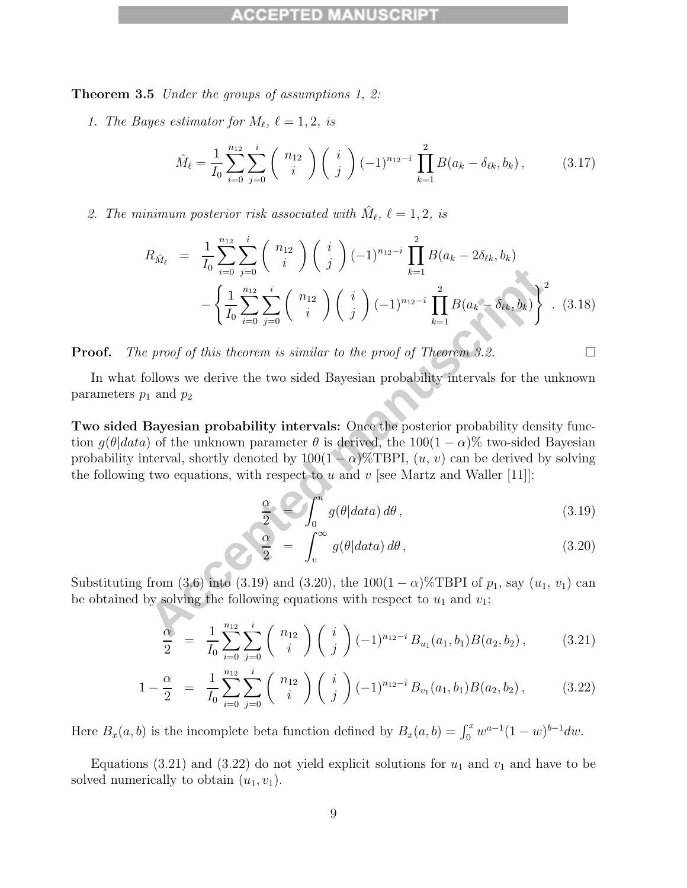**Theorem 3.5** Under the groups of assumptions 1, 2:

1. The Bayes estimator for  $M_{\ell}$ ,  $\ell = 1, 2$ , is

$$
\hat{M}_{\ell} = \frac{1}{I_0} \sum_{i=0}^{n_{12}} \sum_{j=0}^{i} \binom{n_{12}}{i} \binom{i}{j} (-1)^{n_{12}-i} \prod_{k=1}^{2} B(a_k - \delta_{\ell k}, b_k), \quad (3.17)
$$

2. The minimum posterior risk associated with  $M_{\ell}$ ,  $\ell = 1, 2$ , is

$$
R_{\hat{M}_{\ell}} = \frac{1}{I_0} \sum_{i=0}^{n_{12}} \sum_{j=0}^{i} {n_{12} \choose i} {i \choose j} (-1)^{n_{12}-i} \prod_{k=1}^{2} B(a_k - 2\delta_{\ell k}, b_k)
$$
  
\n
$$
- \left\{ \frac{1}{I_0} \sum_{i=0}^{n_{12}} \sum_{j=0}^{i} {n_{12} \choose i} {i \choose j} (-1)^{n_{12}-i} \prod_{k=1}^{2} B(a_k - \delta_{\ell k}, b_k) \right\}^2.
$$
(3.18)  
\ne proof of this theorem is similar to the proof of Theorem 3.2.  
\nfollows we derive the two sided Bayesian probability intervals for the unknown  
\np<sub>1</sub> and p<sub>2</sub>  
\n**Bayesian probability intervals:** Once the posterior probability density func-  
\na) of the unknown parameter  $\theta$  is derived, the 100(1 -  $\alpha$ )% two-sided Bayesian  
\ninterval, shortly denoted by 100(1 -  $\alpha$ )% TBPI,  $(u, v)$  can be derived by solving  
\ng two equations, with respect to u and v [see Martz and Waller [11]]:  
\n
$$
\frac{\alpha}{2} = \int_0^u g(\theta|data) d\theta,
$$
(3.19)  
\n
$$
\frac{\alpha}{2} = \int_v^u g(\theta|data) d\theta,
$$
(3.20)  
\nfrom (3,6) into (3.19) and (3.20), the 100(1 -  $\alpha$ )% TBPI of p<sub>1</sub>, say (u<sub>1</sub>, v<sub>1</sub>) can  
\nby solving the following equations with respect to u<sub>1</sub> and v<sub>1</sub>:  
\n
$$
\frac{\alpha}{2} = \frac{1}{\sqrt{\sum_{i=1}^{n_{12}} \sum_{i=1}^{i} {n_{12}} \binom{i}{i}} {i \binom{n_{12}-i}{n_{12}} \binom{i}{n_{12}}}
$$
(1)  $\frac{\binom{n_{12}-i}{n_{12}} \binom{i}{n_{12}}}{\binom{i}{n_{12}} \binom{i}{n_{12}}}$ (2.31)

**Proof.** The proof of this theorem is similar to the proof of Theorem 3.2.

In what follows we derive the two sided Bayesian probability intervals for the unknown parameters  $p_1$  and  $p_2$ 

**Two sided Bayesian probability intervals:** Once the posterior probability density function  $g(\theta|data)$  of the unknown parameter  $\theta$  is derived, the 100(1 –  $\alpha$ )% two-sided Bayesian probability interval, shortly denoted by  $100(1-\alpha)\%$ TBPI,  $(u, v)$  can be derived by solving the following two equations, with respect to  $u$  and  $v$  [see Martz and Waller [11]]:

$$
\frac{\alpha}{2} \leq \int_0^u g(\theta|data) d\theta,
$$
\n(3.19)

$$
\frac{\alpha}{2} = \int_{v} g(\theta|data) d\theta, \qquad (3.20)
$$

Substituting from (3.6) into (3.19) and (3.20), the  $100(1 - \alpha)\%$  TBPI of  $p_1$ , say  $(u_1, v_1)$  can be obtained by solving the following equations with respect to  $u_1$  and  $v_1$ :

$$
\frac{\alpha}{2} = \frac{1}{I_0} \sum_{i=0}^{n_{12}} \sum_{j=0}^{i} \binom{n_{12}}{i} \binom{i}{j} (-1)^{n_{12}-i} B_{u_1}(a_1, b_1) B(a_2, b_2), \quad (3.21)
$$

$$
1 - \frac{\alpha}{2} = \frac{1}{I_0} \sum_{i=0}^{n_{12}} \sum_{j=0}^{i} \binom{n_{12}}{i} \binom{i}{j} (-1)^{n_{12}-i} B_{v_1}(a_1, b_1) B(a_2, b_2), \quad (3.22)
$$

Here  $B_x(a, b)$  is the incomplete beta function defined by  $B_x(a, b) = \int_0^x w^{a-1}(1-w)^{b-1}dw$ .

Equations (3.21) and (3.22) do not yield explicit solutions for  $u_1$  and  $v_1$  and have to be solved numerically to obtain  $(u_1, v_1)$ .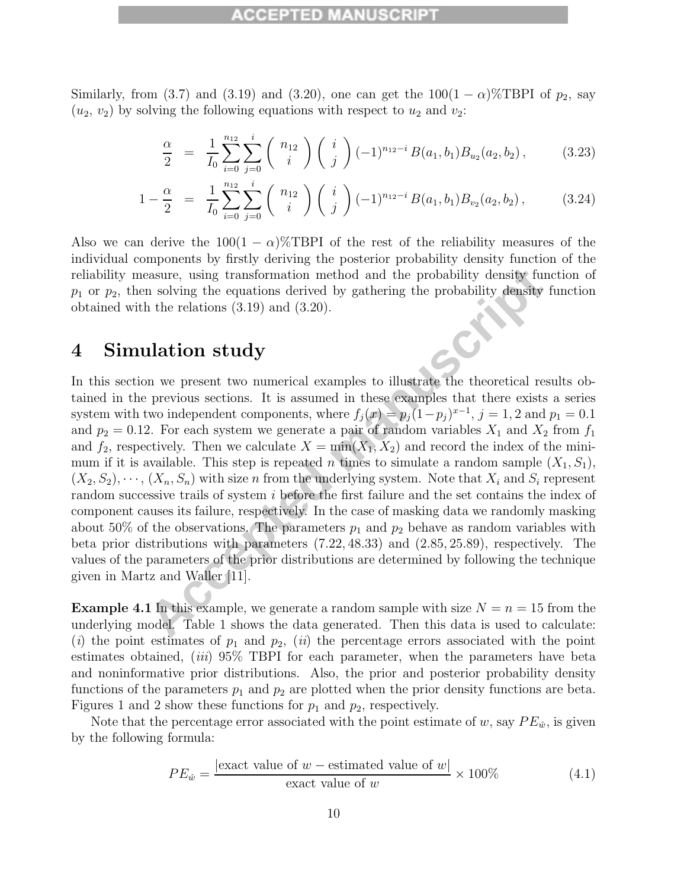Similarly, from (3.7) and (3.19) and (3.20), one can get the  $100(1-\alpha)\%$ TBPI of  $p_2$ , say  $(u_2, v_2)$  by solving the following equations with respect to  $u_2$  and  $v_2$ .

$$
\frac{\alpha}{2} = \frac{1}{I_0} \sum_{i=0}^{n_{12}} \sum_{j=0}^{i} \binom{n_{12}}{i} \binom{i}{j} (-1)^{n_{12}-i} B(a_1, b_1) B_{u_2}(a_2, b_2), \quad (3.23)
$$

$$
1 - \frac{\alpha}{2} = \frac{1}{I_0} \sum_{i=0}^{n_{12}} \sum_{j=0}^{i} \binom{n_{12}}{i} \binom{i}{j} (-1)^{n_{12}-i} B(a_1, b_1) B_{v_2}(a_2, b_2), \quad (3.24)
$$

Also we can derive the  $100(1 - \alpha)$ %TBPI of the rest of the reliability measures of the individual components by firstly deriving the posterior probability density function of the reliability measure, using transformation method and the probability density function of  $p_1$  or  $p_2$ , then solving the equations derived by gathering the probability density function obtained with the relations (3.19) and (3.20).

## **4 Simulation study**

example the equal to state the probability density function is obviog the equations derived by gathering the probability density function is the relations (3.19) and (3.20).<br> **Acception Study**<br>
In the relations (3.19) and In this section we present two numerical examples to illustrate the theoretical results obtained in the previous sections. It is assumed in these examples that there exists a series system with two independent components, where  $f_j(x) = p_j(1-p_j)^{x-1}$ ,  $j = 1, 2$  and  $p_1 = 0.1$ and  $p_2 = 0.12$ . For each system we generate a pair of random variables  $X_1$  and  $X_2$  from  $f_1$ and  $f_2$ , respectively. Then we calculate  $X = min(X_1, X_2)$  and record the index of the minimum if it is available. This step is repeated n times to simulate a random sample  $(X_1, S_1)$ ,  $(X_2, S_2), \cdots, (X_n, S_n)$  with size n from the underlying system. Note that  $X_i$  and  $S_i$  represent random successive trails of system i before the first failure and the set contains the index of component causes its failure, respectively. In the case of masking data we randomly masking about 50% of the observations. The parameters  $p_1$  and  $p_2$  behave as random variables with beta prior distributions with parameters (7.22, 48.33) and (2.85, 25.89), respectively. The values of the parameters of the prior distributions are determined by following the technique given in Martz and Waller [11].

**Example 4.1** In this example, we generate a random sample with size  $N = n = 15$  from the underlying model. Table 1 shows the data generated. Then this data is used to calculate: (i) the point estimates of  $p_1$  and  $p_2$ , (ii) the percentage errors associated with the point estimates obtained, *(iii)*  $95\%$  TBPI for each parameter, when the parameters have beta and noninformative prior distributions. Also, the prior and posterior probability density functions of the parameters  $p_1$  and  $p_2$  are plotted when the prior density functions are beta. Figures 1 and 2 show these functions for  $p_1$  and  $p_2$ , respectively.

Note that the percentage error associated with the point estimate of w, say  $PE_{\hat{w}}$ , is given by the following formula:

$$
PE_{\hat{w}} = \frac{|\text{exact value of } w - \text{estimated value of } w|}{\text{exact value of } w} \times 100\%
$$
 (4.1)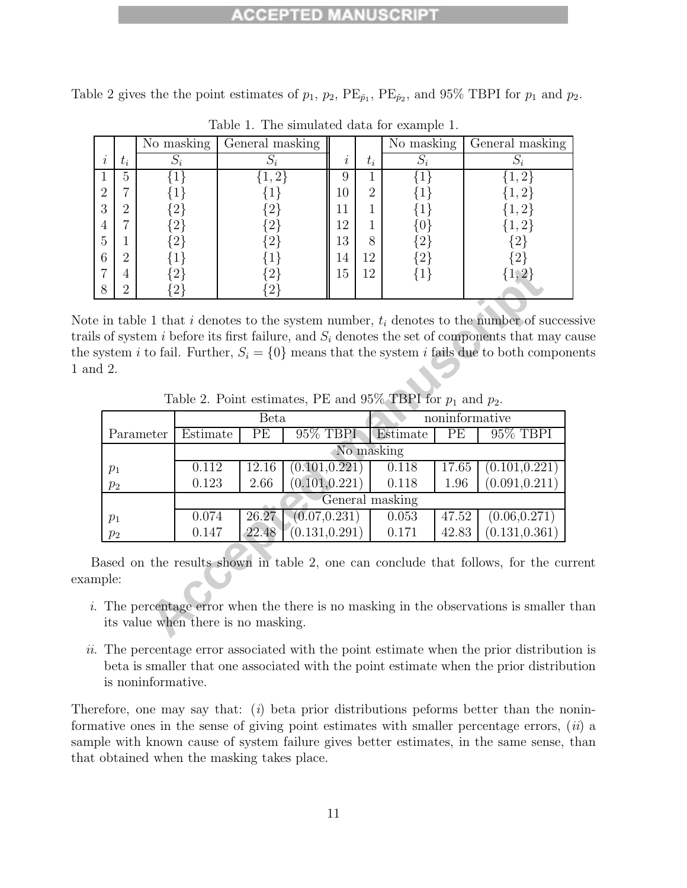#### 8 I 3 B

Table 2 gives the the point estimates of  $p_1$ ,  $p_2$ ,  $PE_{\hat{p}_1}$ ,  $PE_{\hat{p}_2}$ , and 95% TBPI for  $p_1$  and  $p_2$ .

|               |       | $\overline{\text{No}}$ masking | General masking |        |       | $\overline{\text{No}}$ masking | General masking        |
|---------------|-------|--------------------------------|-----------------|--------|-------|--------------------------------|------------------------|
| ٠<br>$\imath$ | $t_i$ |                                |                 | i      | $t_i$ |                                |                        |
|               | 5     |                                | 2               | 9      |       |                                | റ                      |
| റ<br>∠        | ⇁     |                                |                 | $10\,$ | റ     |                                |                        |
| 3             | റ     | റ                              |                 | 11     |       |                                |                        |
| 4             | −     |                                |                 | 12     |       |                                |                        |
| 5             |       | $\Omega$                       | $ 2\rangle$     | 13     | 8     |                                | $\left(2\right)$       |
| 6             | ച     |                                |                 | 14     | 12    |                                | $\left 2\right\rangle$ |
|               | 4     |                                |                 | 15     | 12    |                                |                        |
| 8             | റ     |                                |                 |        |       |                                |                        |

Table 1. The simulated data for example 1.

Note in table 1 that i denotes to the system number,  $t_i$  denotes to the number of successive trails of system i before its first failure, and  $S_i$  denotes the set of components that may cause the system i to fail. Further,  $S_i = \{0\}$  means that the system i fails due to both components 1 and 2.

Table 2. Point estimates, PE and 95% TBPI for  $p_1$  and  $p_2$ .

| $\overline{7}$                                                  | 4                                                                                                                                                                                                                                                                                         |           | $\{2\}$     |                                     | ${2}$           | 15 | 12 | ${1}$          |       | $\{1,2\}$                                                                                                                                                           |  |  |
|-----------------------------------------------------------------|-------------------------------------------------------------------------------------------------------------------------------------------------------------------------------------------------------------------------------------------------------------------------------------------|-----------|-------------|-------------------------------------|-----------------|----|----|----------------|-------|---------------------------------------------------------------------------------------------------------------------------------------------------------------------|--|--|
| 8                                                               | $\overline{2}$                                                                                                                                                                                                                                                                            |           | $\{2\}$     |                                     | 2 <sup>1</sup>  |    |    |                |       |                                                                                                                                                                     |  |  |
|                                                                 | in table 1 that i denotes to the system number, $t_i$ denotes to the number of succe<br>s of system i before its first failure, and $S_i$ denotes the set of components that may<br>ystem <i>i</i> to fail. Further, $S_i = \{0\}$ means that the system <i>i</i> fails due to both compo |           |             |                                     |                 |    |    |                |       |                                                                                                                                                                     |  |  |
|                                                                 | 12.                                                                                                                                                                                                                                                                                       |           |             |                                     |                 |    |    |                |       |                                                                                                                                                                     |  |  |
| Table 2. Point estimates, PE and 95% TBPI for $p_1$ and $p_2$ . |                                                                                                                                                                                                                                                                                           |           |             |                                     |                 |    |    |                |       |                                                                                                                                                                     |  |  |
|                                                                 |                                                                                                                                                                                                                                                                                           |           | <b>Beta</b> |                                     |                 |    |    | noninformative |       |                                                                                                                                                                     |  |  |
|                                                                 |                                                                                                                                                                                                                                                                                           | Parameter | Estimate    | PЕ                                  | 95% TBPI        |    |    | Estimate       | PE    | 95% TBPI                                                                                                                                                            |  |  |
| No masking                                                      |                                                                                                                                                                                                                                                                                           |           |             |                                     |                 |    |    |                |       |                                                                                                                                                                     |  |  |
| $p_1$                                                           |                                                                                                                                                                                                                                                                                           |           | 0.112       | 12.16                               | (0.101, 0.221)  |    |    | 0.118          | 17.65 | (0.101, 0.221)                                                                                                                                                      |  |  |
|                                                                 | $p_2$                                                                                                                                                                                                                                                                                     |           | 0.123       | 2.66                                | (0.101, 0.221)  |    |    | 0.118          | 1.96  | (0.091, 0.211)                                                                                                                                                      |  |  |
|                                                                 |                                                                                                                                                                                                                                                                                           |           |             |                                     | General masking |    |    |                |       |                                                                                                                                                                     |  |  |
| $p_1$                                                           |                                                                                                                                                                                                                                                                                           |           | 0.074       | 26.27                               | (0.07, 0.231)   |    |    | 0.053          | 47.52 | (0.06, 0.271)                                                                                                                                                       |  |  |
|                                                                 | $p_2$                                                                                                                                                                                                                                                                                     |           | 0.147       | 22.48                               | (0.131, 0.291)  |    |    | 0.171          | 42.83 | (0.131, 0.361)                                                                                                                                                      |  |  |
| ple:                                                            |                                                                                                                                                                                                                                                                                           |           |             | its value when there is no masking. |                 |    |    |                |       | ased on the results shown in table 2, one can conclude that follows, for the cu<br>The percentage error when the there is no masking in the observations is smaller |  |  |

Based on the results shown in table 2, one can conclude that follows, for the current example:

- i. The percentage error when the there is no masking in the observations is smaller than its value when there is no masking.
- ii. The percentage error associated with the point estimate when the prior distribution is beta is smaller that one associated with the point estimate when the prior distribution is noninformative.

Therefore, one may say that: (i) beta prior distributions peforms better than the noninformative ones in the sense of giving point estimates with smaller percentage errors,  $(ii)$  a sample with known cause of system failure gives better estimates, in the same sense, than that obtained when the masking takes place.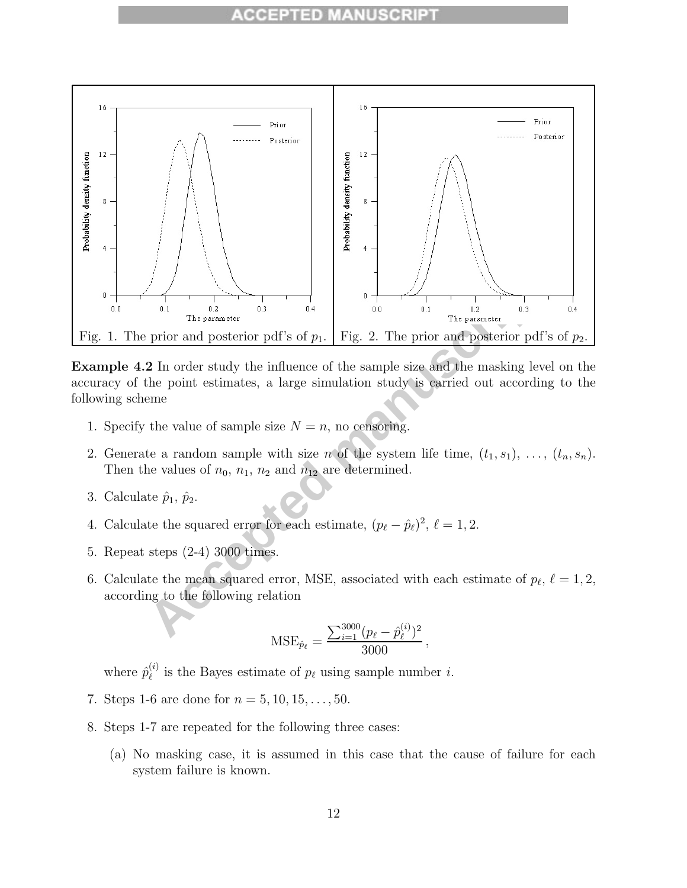

**Example 4.2** In order study the influence of the sample size and the masking level on the accuracy of the point estimates, a large simulation study is carried out according to the following scheme

- 1. Specify the value of sample size  $N = n$ , no censoring.
- 2. Generate a random sample with size n of the system life time,  $(t_1, s_1), \ldots, (t_n, s_n)$ . Then the values of  $n_0$ ,  $n_1$ ,  $n_2$  and  $n_{12}$  are determined.
- 3. Calculate  $\hat{p}_1$ ,  $\hat{p}_2$ .
- 4. Calculate the squared error for each estimate,  $(p_{\ell} \hat{p}_{\ell})^2$ ,  $\ell = 1, 2$ .
- 5. Repeat steps (2-4) 3000 times.
- 6. Calculate the mean squared error, MSE, associated with each estimate of  $p_{\ell}, \ell = 1, 2$ , according to the following relation

$$
\text{MSE}_{\hat{p}_{\ell}} = \frac{\sum_{i=1}^{3000} (p_{\ell} - \hat{p}_{\ell}^{(i)})^2}{3000},
$$

where  $\hat{p}_{\ell}^{(i)}$  is the Bayes estimate of  $p_{\ell}$  using sample number *i*.

- 7. Steps 1-6 are done for  $n = 5, 10, 15, \ldots, 50$ .
- 8. Steps 1-7 are repeated for the following three cases:
	- (a) No masking case, it is assumed in this case that the cause of failure for each system failure is known.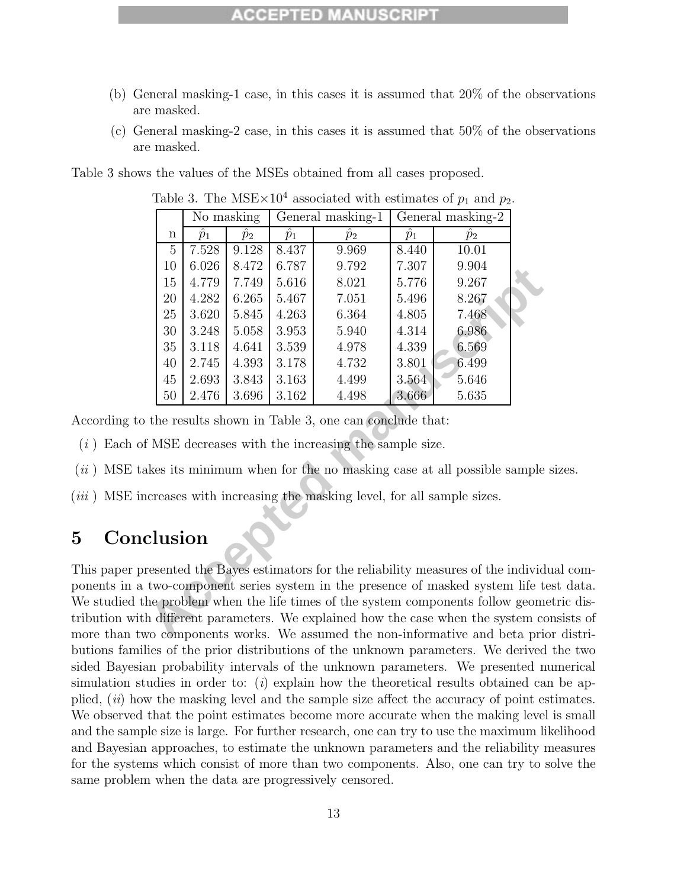- (b) General masking-1 case, in this cases it is assumed that 20% of the observations are masked.
- (c) General masking-2 case, in this cases it is assumed that 50% of the observations are masked.

Table 3 shows the values of the MSEs obtained from all cases proposed.

|                                                                             |                | No masking  |             | General masking-1 | General masking-2 |             |       |  |  |
|-----------------------------------------------------------------------------|----------------|-------------|-------------|-------------------|-------------------|-------------|-------|--|--|
|                                                                             | $\mathbf n$    | $\hat{p}_1$ | $\hat{p}_2$ | $\hat{p}_1$       | $\overline{p}_2$  | $\hat{p}_1$ | $p_2$ |  |  |
|                                                                             | $\overline{5}$ | 7.528       | 9.128       | 8.437             | 9.969             | 8.440       | 10.01 |  |  |
|                                                                             | 10             | 6.026       | 8.472       | 6.787             | 9.792             | 7.307       | 9.904 |  |  |
|                                                                             | 15             | 4.779       | 7.749       | 5.616             | 8.021             | 5.776       | 9.267 |  |  |
|                                                                             | $20\,$         | 4.282       | 6.265       | 5.467             | 7.051             | 5.496       | 8.267 |  |  |
|                                                                             | 25             | 3.620       | 5.845       | 4.263             | 6.364             | 4.805       | 7.468 |  |  |
|                                                                             | $30\,$         | 3.248       | 5.058       | 3.953             | 5.940             | 4.314       | 6.986 |  |  |
|                                                                             | $35\,$         | 3.118       | 4.641       | 3.539             | 4.978             | 4.339       | 6.569 |  |  |
|                                                                             | 40             | 2.745       | 4.393       | 3.178             | 4.732             | 3.801       | 6.499 |  |  |
|                                                                             | 45             | 2.693       | 3.843       | 3.163             | 4.499             | 3.564       | 5.646 |  |  |
|                                                                             | $50\,$         | 2.476       | 3.696       | 3.162             | 4.498             | 3.666       | 5.635 |  |  |
| the results shown in Table 3, one can conclude that:                        |                |             |             |                   |                   |             |       |  |  |
| If MSE decreases with the increasing the sample size.                       |                |             |             |                   |                   |             |       |  |  |
| akes its minimum when for the no masking case at all possible sample si     |                |             |             |                   |                   |             |       |  |  |
| creases with increasing the masking level, for all sample sizes.            |                |             |             |                   |                   |             |       |  |  |
| ${\rm clusion}$                                                             |                |             |             |                   |                   |             |       |  |  |
| resented the Bayes estimators for the reliability measures of the individua |                |             |             |                   |                   |             |       |  |  |
| two-component series system in the presence of masked system life test      |                |             |             |                   |                   |             |       |  |  |
| he problem when the life times of the system components follow geometric    |                |             |             |                   |                   |             |       |  |  |
| h different parameters. We explained how the case when the system cons      |                |             |             |                   |                   |             |       |  |  |
| vo components works. We assumed the non-informative and beta prior          |                |             |             |                   |                   |             |       |  |  |

Table 3. The MSE $\times$ 10<sup>4</sup> associated with estimates of  $p_1$  and  $p_2$ .

According to the results shown in Table 3, one can conclude that:

 $(i)$  Each of MSE decreases with the increasing the sample size.

- $(ii)$  MSE takes its minimum when for the no masking case at all possible sample sizes.
- (*iii*) MSE increases with increasing the masking level, for all sample sizes.

## **5 Conclusion**

This paper presented the Bayes estimators for the reliability measures of the individual components in a two-component series system in the presence of masked system life test data. We studied the problem when the life times of the system components follow geometric distribution with different parameters. We explained how the case when the system consists of more than two components works. We assumed the non-informative and beta prior distributions families of the prior distributions of the unknown parameters. We derived the two sided Bayesian probability intervals of the unknown parameters. We presented numerical simulation studies in order to: (i) explain how the theoretical results obtained can be applied,  $(ii)$  how the masking level and the sample size affect the accuracy of point estimates. We observed that the point estimates become more accurate when the making level is small and the sample size is large. For further research, one can try to use the maximum likelihood and Bayesian approaches, to estimate the unknown parameters and the reliability measures for the systems which consist of more than two components. Also, one can try to solve the same problem when the data are progressively censored.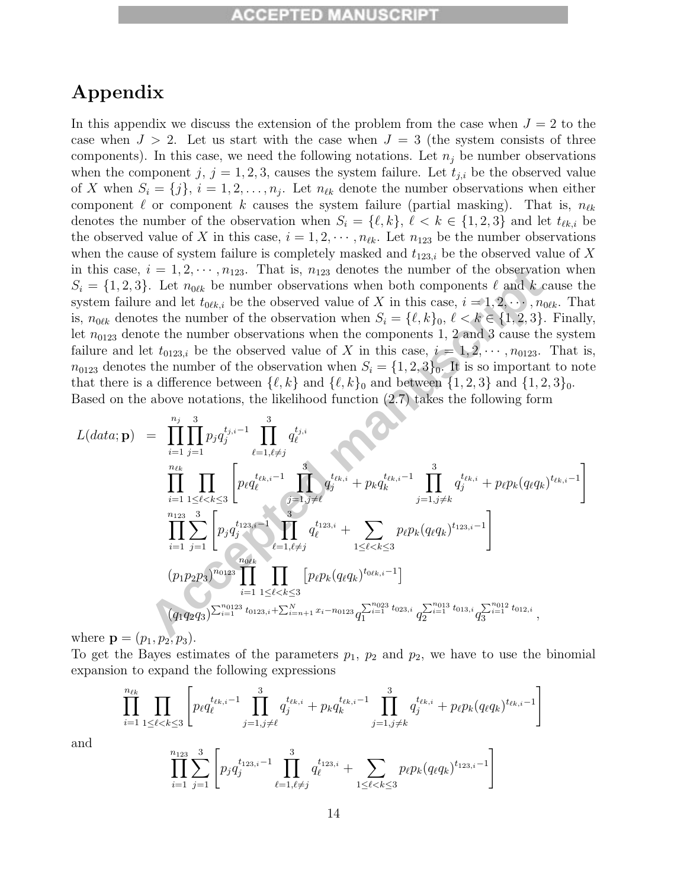## **Appendix**

In this appendix we discuss the extension of the problem from the case when  $J = 2$  to the case when  $J > 2$ . Let us start with the case when  $J = 3$  (the system consists of three components). In this case, we need the following notations. Let  $n_j$  be number observations when the component j,  $j = 1, 2, 3$ , causes the system failure. Let  $t_{j,i}$  be the observed value of X when  $S_i = \{j\}, i = 1, 2, \ldots, n_j$ . Let  $n_{\ell k}$  denote the number observations when either component  $\ell$  or component k causes the system failure (partial masking). That is,  $n_{\ell k}$ denotes the number of the observation when  $S_i = \{l, k\}, \, l \leq k \in \{1, 2, 3\}$  and let  $t_{\ell k,i}$  be the observed value of X in this case,  $i = 1, 2, \dots, n_{\ell k}$ . Let  $n_{123}$  be the number observations when the cause of system failure is completely masked and  $t_{123,i}$  be the observed value of X in this case,  $i = 1, 2, \dots, n_{123}$ . That is,  $n_{123}$  denotes the number of the observation when  $S_i = \{1, 2, 3\}$ . Let  $n_{0\ell k}$  be number observations when both components  $\ell$  and  $k$  cause the system failure and let  $t_{0\ell k,i}$  be the observed value of X in this case,  $i = 1, 2, \dots, n_{0\ell k}$ . That is,  $n_{0\ell k}$  denotes the number of the observation when  $S_i = {\ell, k}_0, \ell < k \in \{1, 2, 3\}$ . Finally, let  $n_{0123}$  denote the number observations when the components 1, 2 and 3 cause the system failure and let  $t_{0123,i}$  be the observed value of X in this case,  $i = 1, 2, \cdots, n_{0123}$ . That is,  $n_{0123}$  denotes the number of the observation when  $S_i = \{1, 2, 3\}_0$ . It is so important to note that there is a difference between  $\{\ell, k\}$  and  $\{\ell, k\}_0$  and between  $\{1, 2, 3\}$  and  $\{1, 2, 3\}_0$ . Based on the above notations, the likelihood function (2.7) takes the following form

n this case, 
$$
i = 1, 2, \dots, n_{123}
$$
. That is,  $n_{123}$  denotes the number of the observation when  $S_i = \{1, 2, 3\}$ . Let  $n_{0\ell k}$  be number observations when both components  $\ell$  and  $k$  cause the system failure and let  $t_{0\ell k,i}$  be the observed value of  $X$  in this case,  $i = 1, 2, \dots, n_{0\ell k}$ . The  $n_{0\ell k}$  denotes the number of the observation when  $S_i = \{\ell, k\}_0, \ell < k \in \{1, 2, 3\}$ . Finally, let  $n_{0123}$  denote the number observations when the components 1, 2 and 3 cause the system failure and let  $t_{0123,i}$  be the observed value of  $X$  in this case,  $i = 1, 2, \dots, n_{0123}$ . That is,  $t_{0123}$  denotes the number of the observation when  $S_i = \{1, 2, 3\}_0$ . It is so important to not that there is a difference between  $\{\ell, k\}$  and  $\{\ell, k\}_0$  and between  $\{1, 2, 3\}$  and  $\{1, 2, 3\}_0$ .  
Based on the above notations, the likelihood function (2.7) takes the following form 
$$
L(data; \mathbf{p}) = \prod_{i=1}^{n_j} \prod_{j=1}^{3} p_j q_j^{t_{j,i-1}} \prod_{\ell=1,\ell\neq j}^{n_j} q_\ell^{t_{\ell k,i}} + p_k q_k^{t_{\ell k,i-1}} \prod_{j=1,j\neq k}^{3} q_j^{t_{\ell k,i}} + p_\ell p_k (q_\ell q_k)^{t_{\ell k,i-1}} \prod_{\ell=1}^{n_{123}} \prod_{\ell=1}^{n_{243}} p_\ell q_\ell^{t_{123,i-1}} + \prod_{1\leq \ell < k\leq 3} p_\ell p_k (q_\ell q_k)^{t_{123,i-1}} \prod_{\ell=1, \ell\neq j} (p_\ell p_k (q_\ell q_k)^{t_{02,i-1}}) \prod_{\ell=1, \ell\neq j} (p_\ell p_k (q_\ell q_k)^{t_{02,i-1}}) \prod_{\ell=1, \ell\neq j} (p_\ell p_k (q_\ell q_k)^{t_{02,i-1}}
$$

where **p** =  $(p_1, p_2, p_3)$ .

To get the Bayes estimates of the parameters  $p_1$ ,  $p_2$  and  $p_2$ , we have to use the binomial expansion to expand the following expressions

$$
\prod_{i=1}^{n_{\ell k}} \prod_{1 \leq \ell < k \leq 3} \left[ p_{\ell} q_{\ell}^{t_{\ell k,i-1}} \prod_{j=1, j \neq \ell}^{3} q_{j}^{t_{\ell k,i}} + p_{k} q_{k}^{t_{\ell k,i-1}} \prod_{j=1, j \neq k}^{3} q_{j}^{t_{\ell k,i}} + p_{\ell} p_{k} (q_{\ell} q_{k})^{t_{\ell k,i-1}} \right]
$$
\n
$$
\prod_{i=1}^{n_{123}} \sum_{j=1}^{3} \left[ p_{j} q_{j}^{t_{123,i-1}} \prod_{\ell=1, \ell \neq j}^{3} q_{\ell}^{t_{123,i}} + \sum_{1 \leq \ell < k \leq 3} p_{\ell} p_{k} (q_{\ell} q_{k})^{t_{123,i-1}} \right]
$$

and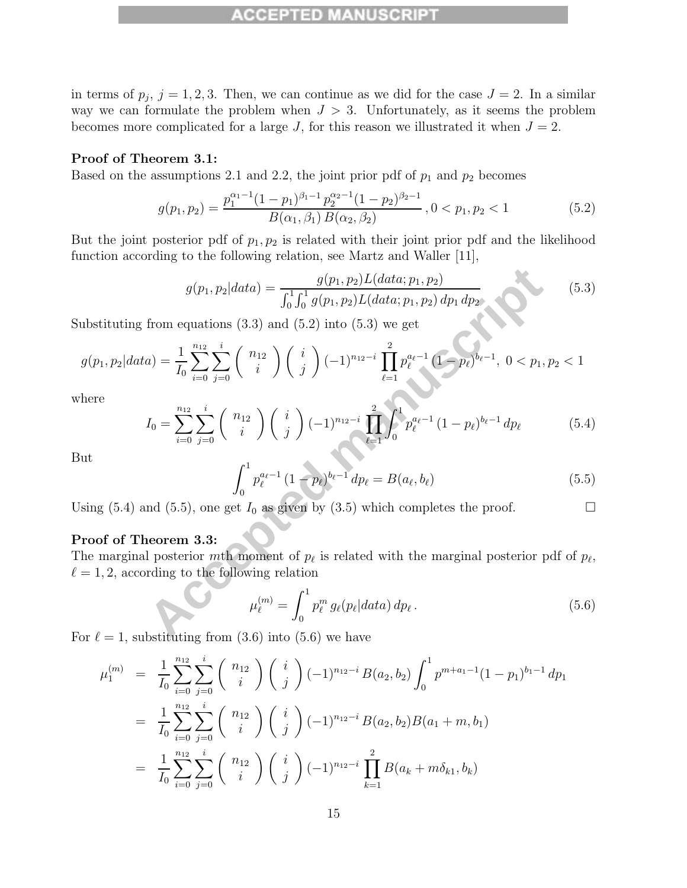#### PTED MA

in terms of  $p_j$ ,  $j = 1, 2, 3$ . Then, we can continue as we did for the case  $J = 2$ . In a similar way we can formulate the problem when  $J > 3$ . Unfortunately, as it seems the problem becomes more complicated for a large J, for this reason we illustrated it when  $J = 2$ .

#### **Proof of Theorem 3.1:**

Based on the assumptions 2.1 and 2.2, the joint prior pdf of  $p_1$  and  $p_2$  becomes

$$
g(p_1, p_2) = \frac{p_1^{\alpha_1 - 1} (1 - p_1)^{\beta_1 - 1} p_2^{\alpha_2 - 1} (1 - p_2)^{\beta_2 - 1}}{B(\alpha_1, \beta_1) B(\alpha_2, \beta_2)}, 0 < p_1, p_2 < 1
$$
\n(5.2)

But the joint posterior pdf of  $p_1, p_2$  is related with their joint prior pdf and the likelihood function according to the following relation, see Martz and Waller [11],

$$
g(p_1, p_2|data) = \frac{g(p_1, p_2)L(data; p_1, p_2)}{\int_0^1 \int_0^1 g(p_1, p_2)L(data; p_1, p_2) dp_1 dp_2}
$$
(5.3)

Substituting from equations  $(3.3)$  and  $(5.2)$  into  $(5.3)$  we get

$$
g(p_1, p_2|data) = \frac{1}{I_0} \sum_{i=0}^{n_{12}} \sum_{j=0}^{i} \binom{n_{12}}{i} \binom{i}{j} (-1)^{n_{12}-i} \prod_{\ell=1}^{2} p_{\ell}^{a_{\ell}-1} (1-p_{\ell})^{b_{\ell}-1}, \ 0 < p_1, p_2 < 1
$$

where

$$
g(p_1, p_2|data) = \frac{g(p_1, p_2)L(data; p_1, p_2)}{\int_0^1 \int_0^1 g(p_1, p_2)L(data; p_1, p_2) dp_1 dp_2}
$$
(5.3)  
from equations (3.3) and (5.2) into (5.3) we get  

$$
a) = \frac{1}{I_0} \sum_{i=0}^{n_{12}} \sum_{j=0}^{i} {n_1 \choose i} {i \choose j} (-1)^{n_{12}-i} \prod_{\ell=1}^{2} p_{\ell}^{a_{\ell}-1} (1-p_{\ell})^{b_{\ell}-1}, 0 < p_1, p_2 < 1
$$

$$
I_0 = \sum_{i=0}^{n_{12}} \sum_{j=0}^{i} {n_1 \choose i} {i \choose j} (-1)^{n_{12}-i} \prod_{\ell=1}^{2} \int_0^1 p_{\ell}^{a_{\ell}-1} (1-p_{\ell})^{b_{\ell}-1} dp_{\ell}
$$
(5.4)
$$
\int_0^1 p_{\ell}^{a_{\ell}-1} (1-p_{\ell})^{b_{\ell}-1} dp_{\ell} = B(a_{\ell}, b_{\ell})
$$
(5.5)  
and (5.5), one get  $I_0$  as given by (3.5) which completes the proof.  
theorem 3.3:  
1 posterior *m*th moment of  $p_{\ell}$  is related with the marginal posterior pdf of  $p_{\ell}$ ,  
triding to the following relation  

$$
\mu_{\ell}^{(m)} = \int_0^1 p_{\ell}^m g_{\ell}(p_{\ell}|data) dp_{\ell}.
$$
(5.6)  
hstituting from (3.6) into (5.6) we have

But

$$
\int_0^1 p_{\ell}^{a_{\ell}-1} (1-p_{\ell})^{b_{\ell}-1} dp_{\ell} = B(a_{\ell}, b_{\ell}) \tag{5.5}
$$

Using (5.4) and (5.5), one get  $I_0$  as given by (3.5) which completes the proof.

#### **Proof of Theorem 3.3:**

The marginal posterior mth moment of  $p_{\ell}$  is related with the marginal posterior pdf of  $p_{\ell}$ ,  $\ell = 1, 2$ , according to the following relation

$$
\mu_{\ell}^{(m)} = \int_0^1 p_{\ell}^m g_{\ell}(p_{\ell}|data) \, dp_{\ell} \,. \tag{5.6}
$$

For  $\ell = 1$ , substituting from (3.6) into (5.6) we have

$$
\mu_1^{(m)} = \frac{1}{I_0} \sum_{i=0}^{n_{12}} \sum_{j=0}^{i} {n_{12} \choose i} {i \choose j} (-1)^{n_{12}-i} B(a_2, b_2) \int_0^1 p^{m+a_1-1} (1-p_1)^{b_1-1} dp_1
$$
  
\n
$$
= \frac{1}{I_0} \sum_{i=0}^{n_{12}} \sum_{j=0}^{i} {n_{12} \choose i} {i \choose j} (-1)^{n_{12}-i} B(a_2, b_2) B(a_1+m, b_1)
$$
  
\n
$$
= \frac{1}{I_0} \sum_{i=0}^{n_{12}} \sum_{j=0}^{i} {n_{12} \choose i} {i \choose j} (-1)^{n_{12}-i} \prod_{k=1}^{2} B(a_k+m\delta_{k1}, b_k)
$$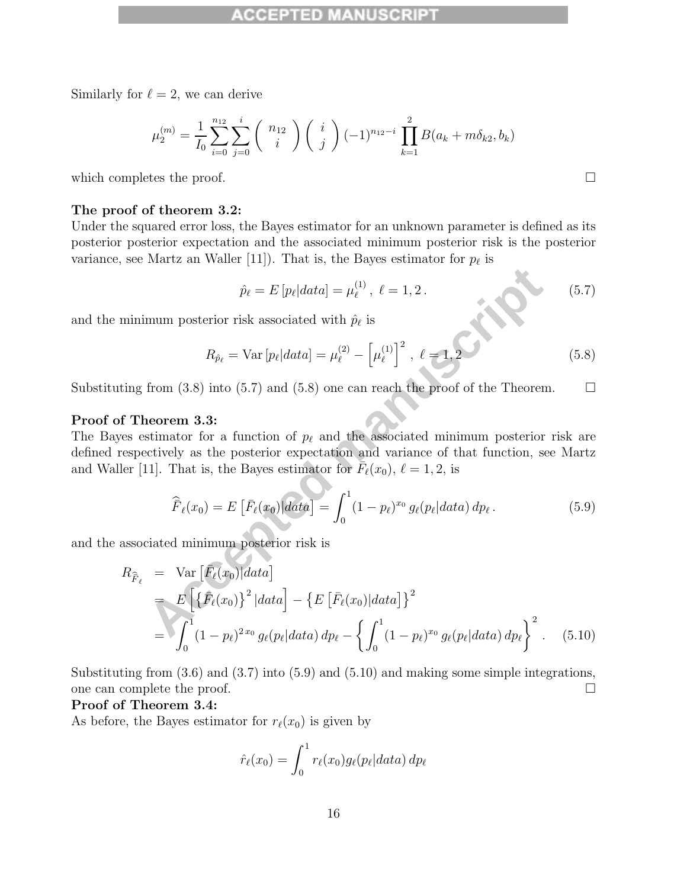Similarly for  $\ell = 2$ , we can derive

$$
\mu_2^{(m)} = \frac{1}{I_0} \sum_{i=0}^{n_{12}} \sum_{j=0}^i \binom{n_{12}}{i} \binom{i}{j} (-1)^{n_{12}-i} \prod_{k=1}^2 B(a_k + m\delta_{k2}, b_k)
$$

which completes the proof.  $\Box$ 

#### **The proof of theorem 3.2:**

Under the squared error loss, the Bayes estimator for an unknown parameter is defined as its posterior posterior expectation and the associated minimum posterior risk is the posterior variance, see Martz an Waller [11]). That is, the Bayes estimator for  $p_{\ell}$  is

$$
\hat{p}_{\ell} = E[p_{\ell}|data] = \mu_{\ell}^{(1)}, \ \ell = 1, 2. \tag{5.7}
$$

and the minimum posterior risk associated with  $\hat{p}_{\ell}$  is

$$
R_{\hat{p}_{\ell}} = \text{Var}\left[p_{\ell} | data\right] = \mu_{\ell}^{(2)} - \left[\mu_{\ell}^{(1)}\right]^2, \ \ell = 1, 2 \tag{5.8}
$$

Substituting from (3.8) into (5.7) and (5.8) one can reach the proof of the Theorem.  $\Box$ 

#### **Proof of Theorem 3.3:**

The Bayes estimator for a function of  $p_{\ell}$  and the associated minimum posterior risk are defined respectively as the posterior expectation and variance of that function, see Martz and Waller [11]. That is, the Bayes estimator for  $F_{\ell}(x_0)$ ,  $\ell = 1, 2$ , is

$$
\widehat{\bar{F}}_{\ell}(x_0) = E\left[\bar{F}_{\ell}(x_0)|\hat{data}\right] = \int_0^1 (1 - p_{\ell})^{x_0} g_{\ell}(p_{\ell}|\hat{data}) dp_{\ell}.
$$
\n(5.9)

and the associated minimum posterior risk is

$$
\hat{p}_{\ell} = E[p_{\ell}|data] = \mu_{\ell}^{(1)}, \ell = 1, 2.
$$
\n(5.7)

\nminimum posterior risk associated with  $\hat{p}_{\ell}$  is

\n
$$
R_{\hat{p}_{\ell}} = \text{Var}[p_{\ell}|data] = \mu_{\ell}^{(2)} - \left[\mu_{\ell}^{(1)}\right]^{2}, \ell = 1, 2
$$
\n(5.8)

\nting from (3.8) into (5.7) and (5.8) one can reach the proof of the Theorem.

\n**f Theorem 3.3:**

\nres estimator for a function of  $p_{\ell}$  and the associated minimum posterior risk are respectively as the posterior expectation and variance of that function, see Martz

\nler [11]. That is, the Bayes estimator for  $F_{\ell}(x_0), \ell = 1, 2$ , is

\n
$$
\hat{F}_{\ell}(x_0) = E\left[\bar{F}_{\ell}(x_0)|data\right] = \int_{0}^{1} (1 - p_{\ell})^{x_0} g_{\ell}(p_{\ell}|data) dp_{\ell}.
$$
\n(5.9)

\nassociated minimum posterior risk is

\n
$$
R_{\hat{F}_{\ell}} = \text{Var}\left[\bar{F}_{\ell}(x_0)|data\right]
$$
\n
$$
= \int_{0}^{1} (1 - p_{\ell})^{2x_0} g_{\ell}(p_{\ell}|data) dp_{\ell} - \left\{\int_{0}^{1} (1 - p_{\ell})^{x_0} g_{\ell}(p_{\ell}|data) dp_{\ell}\right\}^{2}.
$$
\n(5.10)

Substituting from  $(3.6)$  and  $(3.7)$  into  $(5.9)$  and  $(5.10)$  and making some simple integrations, one can complete the proof.

#### **Proof of Theorem 3.4:**

As before, the Bayes estimator for  $r_{\ell}(x_0)$  is given by

$$
\hat{r}_{\ell}(x_0) = \int_0^1 r_{\ell}(x_0) g_{\ell}(p_{\ell}|data) dp_{\ell}
$$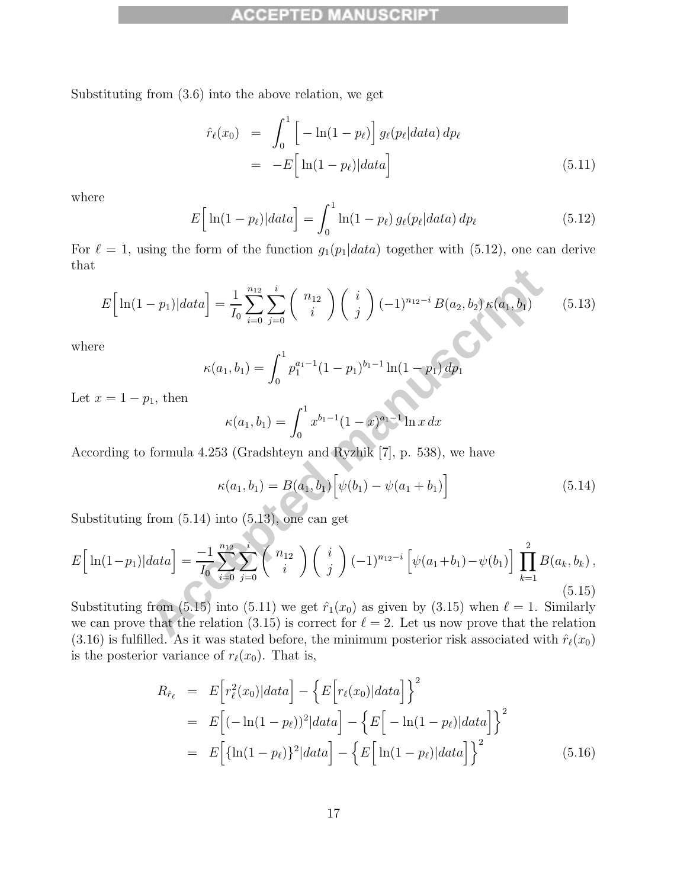#### PTED MA

Substituting from (3.6) into the above relation, we get

$$
\hat{r}_{\ell}(x_0) = \int_0^1 \left[ -\ln(1 - p_{\ell}) \right] g_{\ell}(p_{\ell}|data) dp_{\ell}
$$
\n
$$
= -E \left[ \ln(1 - p_{\ell}) \right] data \right]
$$
\n(5.11)

where

$$
E\Big[\ln(1-p_{\ell})|data\Big] = \int_0^1 \ln(1-p_{\ell}) g_{\ell}(p_{\ell}|data) dp_{\ell}
$$
 (5.12)

For  $\ell = 1$ , using the form of the function  $g_1(p_1|data)$  together with (5.12), one can derive that

$$
E\left[\ln(1-p_1)|data\right] = \frac{1}{I_0} \sum_{i=0}^{n_{12}} \sum_{j=0}^{i} \binom{n_{12}}{i} \binom{i}{j} (-1)^{n_{12}-i} B(a_2, b_2) \kappa(a_1, b_1) \tag{5.13}
$$

where

$$
\kappa(a_1, b_1) = \int_0^1 p_1^{a_1 - 1} (1 - p_1)^{b_1 - 1} \ln(1 - p_1) dp_1
$$

Let  $x = 1 - p_1$ , then

$$
\kappa(a_1, b_1) = \int_0^1 x^{b_1 - 1} (1 - x)^{a_1 - 1} \ln x \, dx
$$

According to formula 4.253 (Gradshteyn and Ryzhik [7], p. 538), we have

$$
\kappa(a_1, b_1) = B(a_1, b_1) \Big[ \psi(b_1) - \psi(a_1 + b_1) \Big] \tag{5.14}
$$

Substituting from (5.14) into (5.13), one can get

$$
E\Big[\ln(1-p_1)|data\Big] = \frac{1}{I_0} \sum_{i=0}^{n_{12}} \sum_{j=0}^{i} \binom{n_{12}}{i} \binom{i}{j} (-1)^{n_{12}-i} B(a_2, b_2) \kappa(a_1, b_1)
$$
(5.13)  
where  

$$
\kappa(a_1, b_1) = \int_0^1 p_1^{a_1-1} (1-p_1)^{b_1-1} \ln(1-p_1) dp_1
$$
  
Let  $x = 1-p_1$ , then  

$$
\kappa(a_1, b_1) = \int_0^1 x^{b_1-1} (1-x)^{a_1-1} \ln x dx
$$
  
According to formula 4.253 (Gradshteyn and Ryzhik [7], p. 538), we have  

$$
\kappa(a_1, b_1) = B(a_1, b_1) \Big[\psi(b_1) - \psi(a_1 + b_1)\Big]
$$
(5.14)  
Substituting from (5.14) into (5.13), one can get  

$$
E\Big[\ln(1-p_1)|data\Big] = \frac{-1}{I_0} \sum_{i=0}^{n_{12}} \sum_{j=0}^{i} \binom{n_{12}}{i} \binom{i}{j} (-1)^{n_{12}-i} \Big[\psi(a_1+b_1) - \psi(b_1)\Big] \prod_{k=1}^{2} B(a_k, b_k),
$$
(5.15)  
Substituting from (5.15) into (5.11) we get  $\hat{r}_1(x_0)$  as given by (3.15) when  $\ell = 1$ . Similarly  
we can prove that the relation (3.15) is correct for  $\ell = 2$ . Let us now prove that the right of (2.15).

Substituting from (5.15) into (5.11) we get  $\hat{r}_1(x_0)$  as given by (3.15) when  $\ell = 1$ . Similarly we can prove that the relation (3.15) is correct for  $\ell = 2$ . Let us now prove that the relation (3.16) is fulfilled. As it was stated before, the minimum posterior risk associated with  $\hat{r}_{\ell}(x_0)$ is the posterior variance of  $r_{\ell}(x_0)$ . That is,

$$
R_{\hat{r}_{\ell}} = E\Big[r_{\ell}^{2}(x_{0})|data\Big] - \Big\{E\Big[r_{\ell}(x_{0})|data\Big]\Big\}^{2}
$$
  
\n
$$
= E\Big[(-\ln(1-p_{\ell}))^{2}|data\Big] - \Big\{E\Big[-\ln(1-p_{\ell})|data\Big]\Big\}^{2}
$$
  
\n
$$
= E\Big[\{\ln(1-p_{\ell})\}^{2}|data\Big] - \Big\{E\Big[\ln(1-p_{\ell})|data\Big]\Big\}^{2}
$$
(5.16)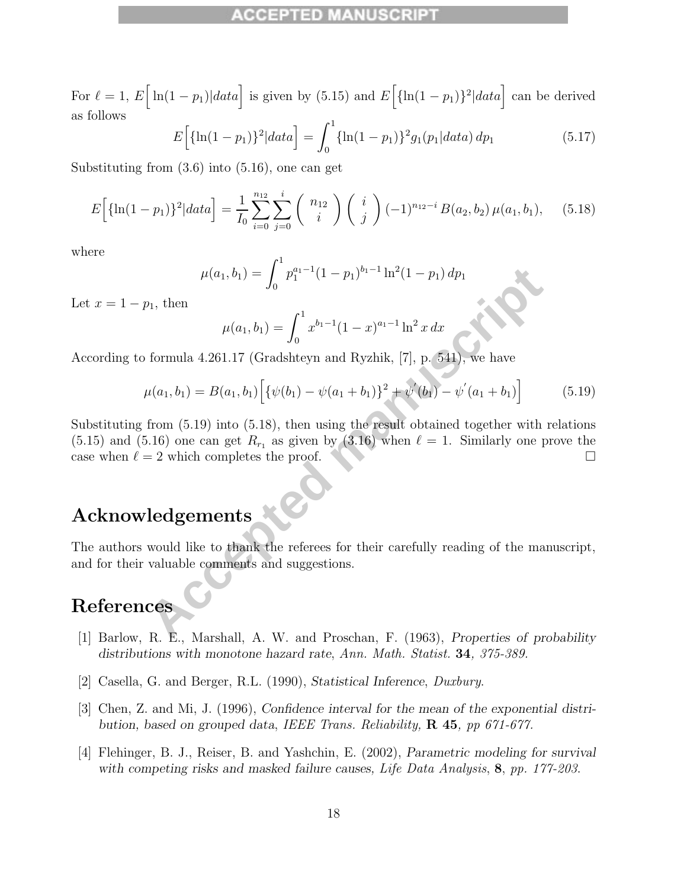For  $\ell = 1$ ,  $E\left[\ln(1-p_1)|data\right]$  is given by (5.15) and  $E\left[\ln(1-p_1)\right]^2|data\right]$  can be derived as follows

$$
E\Big[\{\ln(1-p_1)\}^2|data\Big] = \int_0^1 \{\ln(1-p_1)\}^2 g_1(p_1|data) dp_1\tag{5.17}
$$

Substituting from (3.6) into (5.16), one can get

$$
E\Big[\{\ln(1-p_1)\}^2|data\Big] = \frac{1}{I_0} \sum_{i=0}^{n_{12}} \sum_{j=0}^i \binom{n_{12}}{i} \binom{i}{j} (-1)^{n_{12}-i} B(a_2, b_2) \mu(a_1, b_1), \quad (5.18)
$$

where

$$
\mu(a_1, b_1) = \int_0^1 p_1^{a_1 - 1} (1 - p_1)^{b_1 - 1} \ln^2(1 - p_1) dp_1
$$

Let  $x = 1 - p_1$ , then

$$
\mu(a_1, b_1) = \int_0^1 x^{b_1 - 1} (1 - x)^{a_1 - 1} \ln^2 x \, dx
$$

According to formula 4.261.17 (Gradshteyn and Ryzhik, [7], p. 541), we have

$$
\mu(a_1, b_1) = B(a_1, b_1) \Big[ \{ \psi(b_1) - \psi(a_1 + b_1) \}^2 + \psi'(b_1) - \psi'(a_1 + b_1) \Big] \tag{5.19}
$$

 $\mu(a_1, b_1) = \int_0^{a_1-1} (1-p_1)^{b_1-1} \ln^2(1-p_1) dp_1$ <br>  $p_1$ , then<br>  $\mu(a_1, b_1) = \int_0^1 x^{b_1-1} (1-x)^{a_1-1} \ln^2 x dx$ <br>
formula 4.261.17 (Gradshteyn and Ryzhik, [7], p. 541), we have<br>  $\mu(a_1, b_1) = B(a_1, b_1) \Big[ {\{\psi(b_1) - \psi(a_1 + b_1)\}}^2 +$ Substituting from (5.19) into (5.18), then using the result obtained together with relations  $(5.15)$  and  $(5.16)$  one can get  $R_{r_1}$  as given by  $(3.16)$  when  $\ell = 1$ . Similarly one prove the case when  $\ell = 2$  which completes the proof.

# **Acknowledgements**

The authors would like to thank the referees for their carefully reading of the manuscript, and for their valuable comments and suggestions.

## **References**

- [1] Barlow, R. E., Marshall, A. W. and Proschan, F. (1963), *Properties of probability distributions with monotone hazard rate*, Ann. Math. Statist. **34**, 375-389.
- [2] Casella, G. and Berger, R.L. (1990), *Statistical Inference*, Duxbury.
- [3] Chen, Z. and Mi, J. (1996), *Confidence interval for the mean of the exponential distribution, based on grouped data*, IEEE Trans. Reliability, **R 45**, pp 671-677.
- [4] Flehinger, B. J., Reiser, B. and Yashchin, E. (2002), *Parametric modeling for survival with competing risks and masked failure causes,* Life Data Analysis, **8**, pp. 177-203.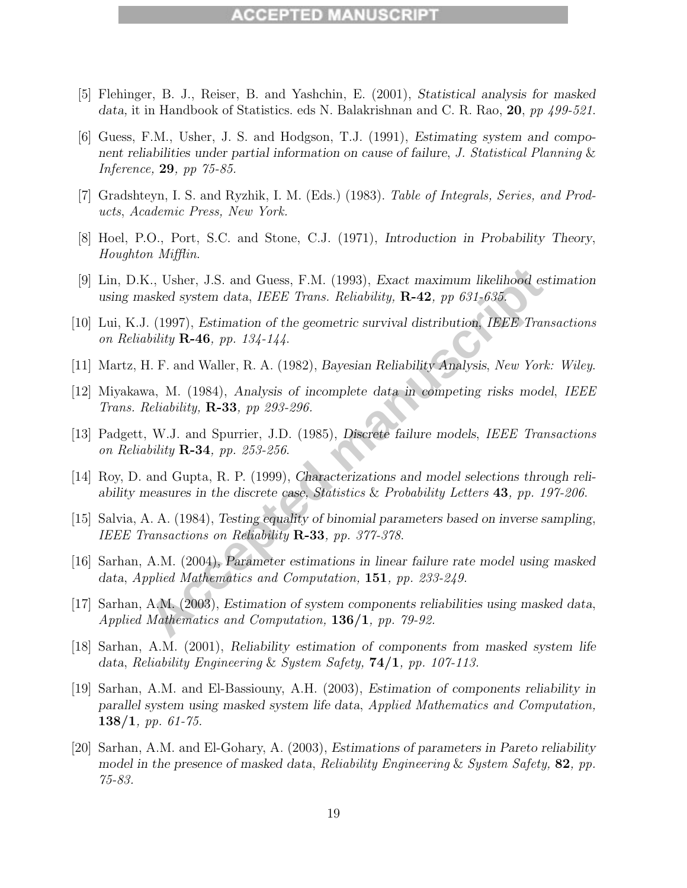#### **CCEPTED MANUS**

- [5] Flehinger, B. J., Reiser, B. and Yashchin, E. (2001), *Statistical analysis for masked data,* it in Handbook of Statistics. eds N. Balakrishnan and C. R. Rao, **20**, pp 499-521.
- [6] Guess, F.M., Usher, J. S. and Hodgson, T.J. (1991), *Estimating system and component reliabilities under partial information on cause of failure*, J. Statistical Planning & Inference, **29**, pp 75-85.
- [7] Gradshteyn, I. S. and Ryzhik, I. M. (Eds.) (1983). Table of Integrals, Series, and Products, Academic Press, New York.
- [8] Hoel, P.O., Port, S.C. and Stone, C.J. (1971), *Introduction in Probability Theory*, Houghton Mifflin.
- [9] Lin, D.K., Usher, J.S. and Guess, F.M. (1993), *Exact maximum likelihood estimation using masked system data*, IEEE Trans. Reliability, **R-42**, pp 631-635.
- X., Usher, J.S. and Guess, F.M. (1993), Exact maximum likelihood estinasked system data, *IEEE Trans. Reliability*, **R-42**, *pp 631-635.*<br>
Accepted manuscript *R.A.* (1997), *Bstination of the geometric survival distributi* [10] Lui, K.J. (1997), *Estimation of the geometric survival distribution*, IEEE Transactions on Reliability **R-46**, pp. 134-144.
- [11] Martz, H. F. and Waller, R. A. (1982), *Bayesian Reliability Analysis*, New York: Wiley.
- [12] Miyakawa, M. (1984), *Analysis of incomplete data in competing risks model*, IEEE Trans. Reliability, **R-33**, pp 293-296.
- [13] Padgett, W.J. and Spurrier, J.D. (1985), *Discrete failure models*, *IEEE Transactions* on Reliability **R-34**, pp. 253-256.
- [14] Roy, D. and Gupta, R. P. (1999), *Characterizations and model selections through reliability measures in the discrete case,* Statistics & Probability Letters **43**, pp. 197-206.
- [15] Salvia, A. A. (1984), *Testing equality of binomial parameters based on inverse sampling*, IEEE Transactions on Reliability **R-33**, pp. 377-378.
- [16] Sarhan, A.M. (2004), *Parameter estimations in linear failure rate model using masked data*, Applied Mathematics and Computation, **151**, pp. 233-249.
- [17] Sarhan, A.M. (2003), *Estimation of system components reliabilities using masked data*, Applied Mathematics and Computation, **136/1**, pp. 79-92.
- [18] Sarhan, A.M. (2001), *Reliability estimation of components from masked system life data*, Reliability Engineering & System Safety, **74/1**, pp. 107-113.
- [19] Sarhan, A.M. and El-Bassiouny, A.H. (2003), *Estimation of components reliability in parallel system using masked system life data*, Applied Mathematics and Computation, **138/1**, pp. 61-75.
- [20] Sarhan, A.M. and El-Gohary, A. (2003), *Estimations of parameters in Pareto reliability model in the presence of masked data*, Reliability Engineering & System Safety, **82**, pp. 75-83.